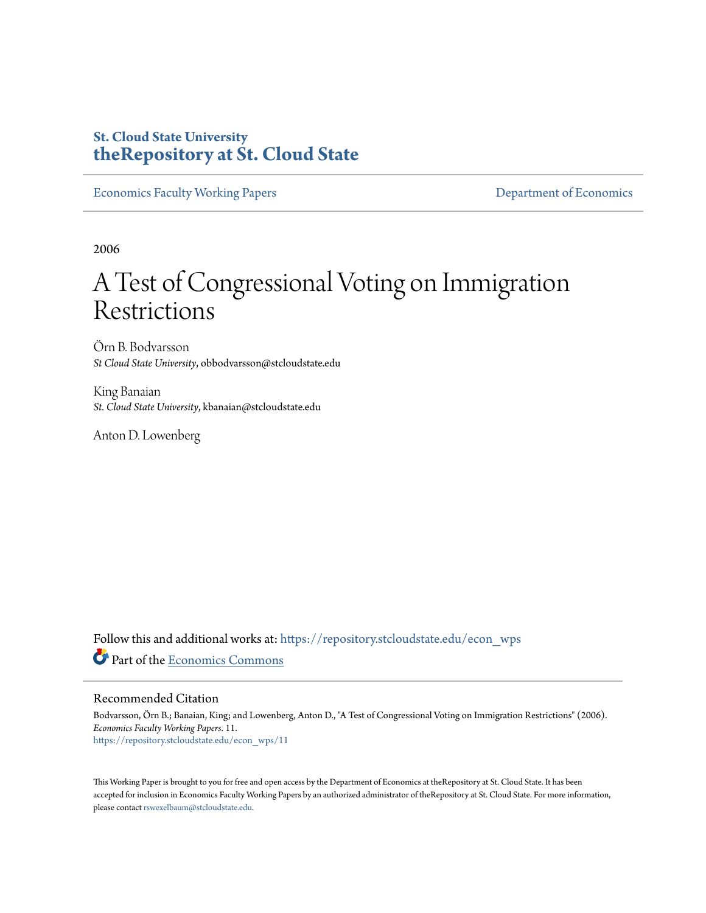# **St. Cloud State University [theRepository at St. Cloud State](https://repository.stcloudstate.edu?utm_source=repository.stcloudstate.edu%2Fecon_wps%2F11&utm_medium=PDF&utm_campaign=PDFCoverPages)**

[Economics Faculty Working Papers](https://repository.stcloudstate.edu/econ_wps?utm_source=repository.stcloudstate.edu%2Fecon_wps%2F11&utm_medium=PDF&utm_campaign=PDFCoverPages) **Exercise 2018** [Department of Economics](https://repository.stcloudstate.edu/econ?utm_source=repository.stcloudstate.edu%2Fecon_wps%2F11&utm_medium=PDF&utm_campaign=PDFCoverPages)

2006

# A Test of Congressional Voting on Immigration Restrictions

Örn B. Bodvarsson *St Cloud State University*, obbodvarsson@stcloudstate.edu

King Banaian *St. Cloud State University*, kbanaian@stcloudstate.edu

Anton D. Lowenberg

Follow this and additional works at: [https://repository.stcloudstate.edu/econ\\_wps](https://repository.stcloudstate.edu/econ_wps?utm_source=repository.stcloudstate.edu%2Fecon_wps%2F11&utm_medium=PDF&utm_campaign=PDFCoverPages) Part of the [Economics Commons](http://network.bepress.com/hgg/discipline/340?utm_source=repository.stcloudstate.edu%2Fecon_wps%2F11&utm_medium=PDF&utm_campaign=PDFCoverPages)

#### Recommended Citation

Bodvarsson, Örn B.; Banaian, King; and Lowenberg, Anton D., "A Test of Congressional Voting on Immigration Restrictions" (2006). *Economics Faculty Working Papers*. 11. [https://repository.stcloudstate.edu/econ\\_wps/11](https://repository.stcloudstate.edu/econ_wps/11?utm_source=repository.stcloudstate.edu%2Fecon_wps%2F11&utm_medium=PDF&utm_campaign=PDFCoverPages)

This Working Paper is brought to you for free and open access by the Department of Economics at theRepository at St. Cloud State. It has been accepted for inclusion in Economics Faculty Working Papers by an authorized administrator of theRepository at St. Cloud State. For more information, please contact [rswexelbaum@stcloudstate.edu.](mailto:rswexelbaum@stcloudstate.edu)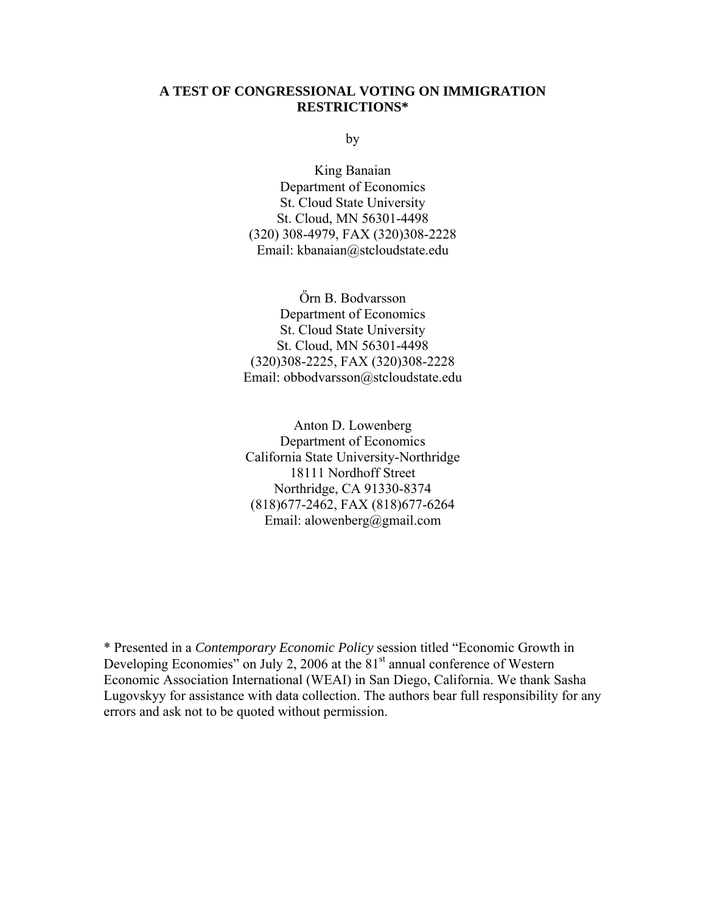## **A TEST OF CONGRESSIONAL VOTING ON IMMIGRATION RESTRICTIONS\***

by

King Banaian Department of Economics St. Cloud State University St. Cloud, MN 56301-4498 (320) 308-4979, FAX (320)308-2228 Email: kbanaian@stcloudstate.edu

Őrn B. Bodvarsson Department of Economics St. Cloud State University St. Cloud, MN 56301-4498 (320)308-2225, FAX (320)308-2228 Email: obbodvarsson@stcloudstate.edu

Anton D. Lowenberg Department of Economics California State University-Northridge 18111 Nordhoff Street Northridge, CA 91330-8374 (818)677-2462, FAX (818)677-6264 Email: alowenberg@gmail.com

\* Presented in a *Contemporary Economic Policy* session titled "Economic Growth in Developing Economies" on July 2, 2006 at the  $81<sup>st</sup>$  annual conference of Western Economic Association International (WEAI) in San Diego, California. We thank Sasha Lugovskyy for assistance with data collection. The authors bear full responsibility for any errors and ask not to be quoted without permission.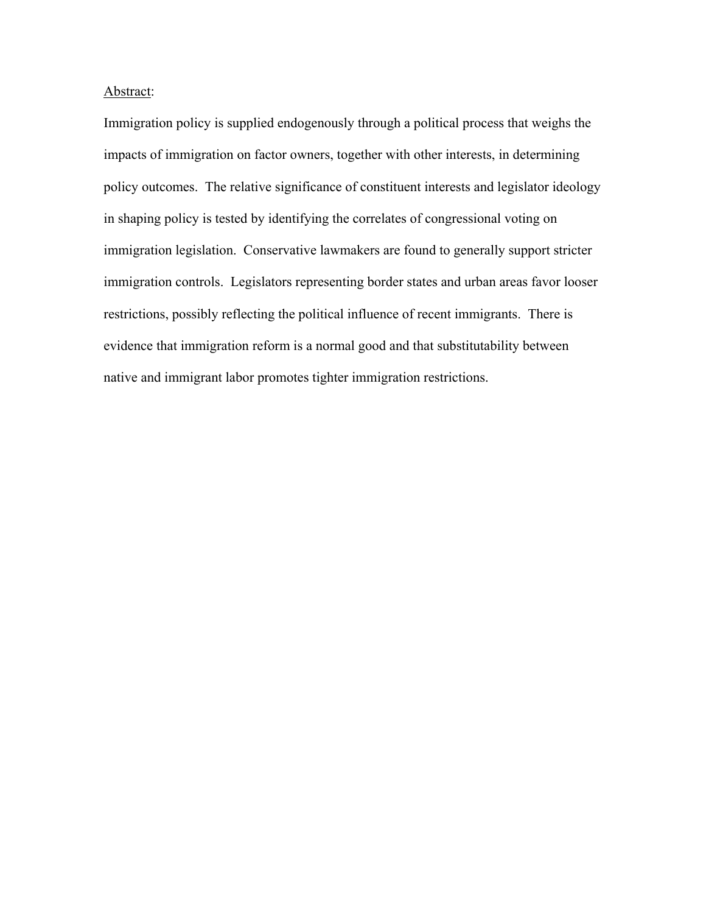#### Abstract:

Immigration policy is supplied endogenously through a political process that weighs the impacts of immigration on factor owners, together with other interests, in determining policy outcomes. The relative significance of constituent interests and legislator ideology in shaping policy is tested by identifying the correlates of congressional voting on immigration legislation. Conservative lawmakers are found to generally support stricter immigration controls. Legislators representing border states and urban areas favor looser restrictions, possibly reflecting the political influence of recent immigrants. There is evidence that immigration reform is a normal good and that substitutability between native and immigrant labor promotes tighter immigration restrictions.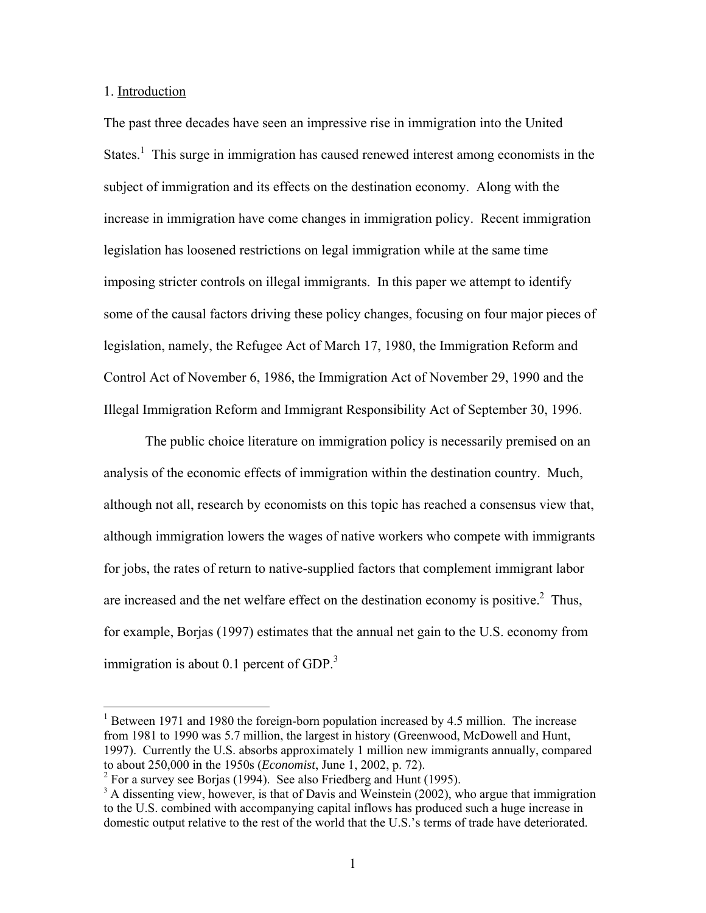### 1. Introduction

 $\overline{a}$ 

The past three decades have seen an impressive rise in immigration into the United States.<sup>1</sup> This surge in immigration has caused renewed interest among economists in the subject of immigration and its effects on the destination economy. Along with the increase in immigration have come changes in immigration policy. Recent immigration legislation has loosened restrictions on legal immigration while at the same time imposing stricter controls on illegal immigrants. In this paper we attempt to identify some of the causal factors driving these policy changes, focusing on four major pieces of legislation, namely, the Refugee Act of March 17, 1980, the Immigration Reform and Control Act of November 6, 1986, the Immigration Act of November 29, 1990 and the Illegal Immigration Reform and Immigrant Responsibility Act of September 30, 1996.

 The public choice literature on immigration policy is necessarily premised on an analysis of the economic effects of immigration within the destination country. Much, although not all, research by economists on this topic has reached a consensus view that, although immigration lowers the wages of native workers who compete with immigrants for jobs, the rates of return to native-supplied factors that complement immigrant labor are increased and the net welfare effect on the destination economy is positive.<sup>2</sup> Thus, for example, Borjas (1997) estimates that the annual net gain to the U.S. economy from immigration is about 0.1 percent of GDP. $3$ 

<sup>&</sup>lt;sup>1</sup> Between 1971 and 1980 the foreign-born population increased by 4.5 million. The increase from 1981 to 1990 was 5.7 million, the largest in history (Greenwood, McDowell and Hunt, 1997). Currently the U.S. absorbs approximately 1 million new immigrants annually, compared to about 250,000 in the 1950s (*Economist*, June 1, 2002, p. 72).

<sup>&</sup>lt;sup>2</sup> For a survey see Borjas (1994). See also Friedberg and Hunt (1995).

 $3$  A dissenting view, however, is that of Davis and Weinstein (2002), who argue that immigration to the U.S. combined with accompanying capital inflows has produced such a huge increase in domestic output relative to the rest of the world that the U.S.'s terms of trade have deteriorated.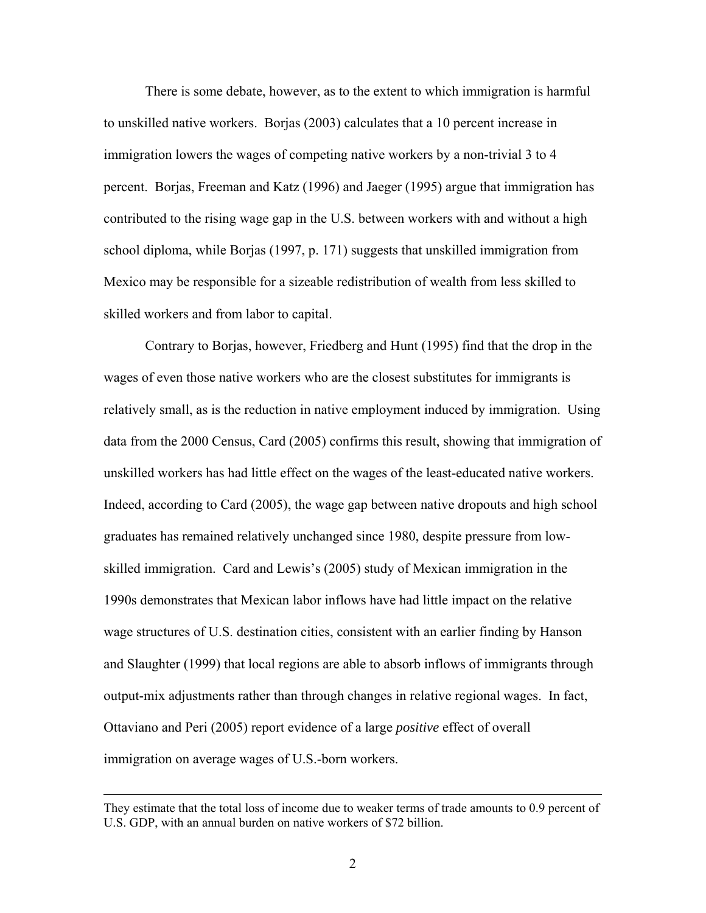There is some debate, however, as to the extent to which immigration is harmful to unskilled native workers. Borjas (2003) calculates that a 10 percent increase in immigration lowers the wages of competing native workers by a non-trivial 3 to 4 percent. Borjas, Freeman and Katz (1996) and Jaeger (1995) argue that immigration has contributed to the rising wage gap in the U.S. between workers with and without a high school diploma, while Borjas (1997, p. 171) suggests that unskilled immigration from Mexico may be responsible for a sizeable redistribution of wealth from less skilled to skilled workers and from labor to capital.

Contrary to Borjas, however, Friedberg and Hunt (1995) find that the drop in the wages of even those native workers who are the closest substitutes for immigrants is relatively small, as is the reduction in native employment induced by immigration. Using data from the 2000 Census, Card (2005) confirms this result, showing that immigration of unskilled workers has had little effect on the wages of the least-educated native workers. Indeed, according to Card (2005), the wage gap between native dropouts and high school graduates has remained relatively unchanged since 1980, despite pressure from lowskilled immigration. Card and Lewis's (2005) study of Mexican immigration in the 1990s demonstrates that Mexican labor inflows have had little impact on the relative wage structures of U.S. destination cities, consistent with an earlier finding by Hanson and Slaughter (1999) that local regions are able to absorb inflows of immigrants through output-mix adjustments rather than through changes in relative regional wages. In fact, Ottaviano and Peri (2005) report evidence of a large *positive* effect of overall immigration on average wages of U.S.-born workers.

 $\overline{a}$ 

They estimate that the total loss of income due to weaker terms of trade amounts to 0.9 percent of U.S. GDP, with an annual burden on native workers of \$72 billion.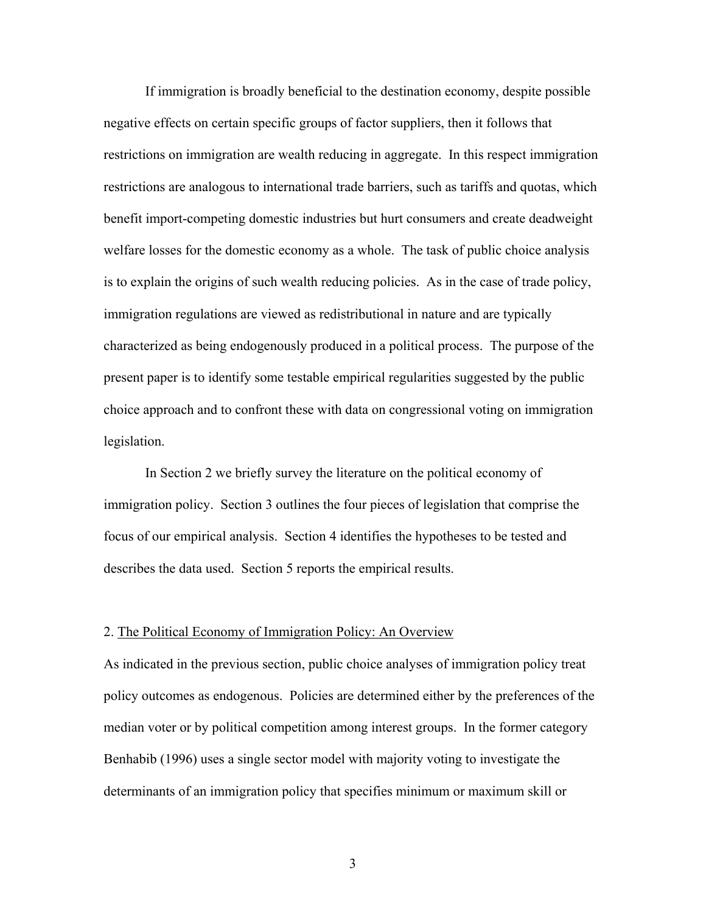If immigration is broadly beneficial to the destination economy, despite possible negative effects on certain specific groups of factor suppliers, then it follows that restrictions on immigration are wealth reducing in aggregate. In this respect immigration restrictions are analogous to international trade barriers, such as tariffs and quotas, which benefit import-competing domestic industries but hurt consumers and create deadweight welfare losses for the domestic economy as a whole. The task of public choice analysis is to explain the origins of such wealth reducing policies. As in the case of trade policy, immigration regulations are viewed as redistributional in nature and are typically characterized as being endogenously produced in a political process. The purpose of the present paper is to identify some testable empirical regularities suggested by the public choice approach and to confront these with data on congressional voting on immigration legislation.

In Section 2 we briefly survey the literature on the political economy of immigration policy. Section 3 outlines the four pieces of legislation that comprise the focus of our empirical analysis. Section 4 identifies the hypotheses to be tested and describes the data used. Section 5 reports the empirical results.

#### 2. The Political Economy of Immigration Policy: An Overview

As indicated in the previous section, public choice analyses of immigration policy treat policy outcomes as endogenous. Policies are determined either by the preferences of the median voter or by political competition among interest groups. In the former category Benhabib (1996) uses a single sector model with majority voting to investigate the determinants of an immigration policy that specifies minimum or maximum skill or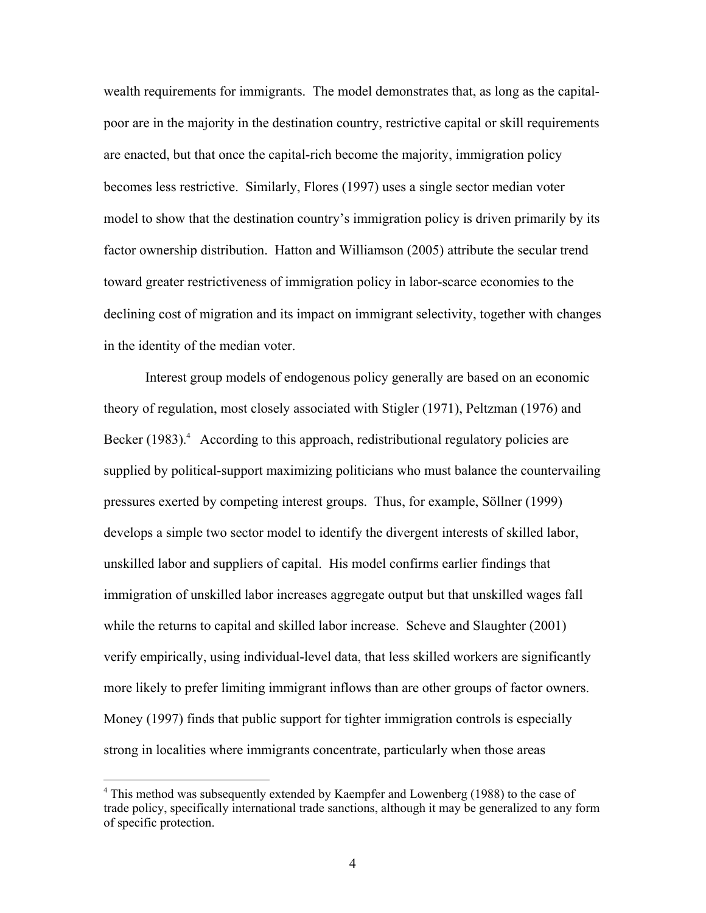wealth requirements for immigrants. The model demonstrates that, as long as the capitalpoor are in the majority in the destination country, restrictive capital or skill requirements are enacted, but that once the capital-rich become the majority, immigration policy becomes less restrictive. Similarly, Flores (1997) uses a single sector median voter model to show that the destination country's immigration policy is driven primarily by its factor ownership distribution. Hatton and Williamson (2005) attribute the secular trend toward greater restrictiveness of immigration policy in labor-scarce economies to the declining cost of migration and its impact on immigrant selectivity, together with changes in the identity of the median voter.

Interest group models of endogenous policy generally are based on an economic theory of regulation, most closely associated with Stigler (1971), Peltzman (1976) and Becker (1983).<sup>4</sup> According to this approach, redistributional regulatory policies are supplied by political-support maximizing politicians who must balance the countervailing pressures exerted by competing interest groups. Thus, for example, Söllner (1999) develops a simple two sector model to identify the divergent interests of skilled labor, unskilled labor and suppliers of capital. His model confirms earlier findings that immigration of unskilled labor increases aggregate output but that unskilled wages fall while the returns to capital and skilled labor increase. Scheve and Slaughter (2001) verify empirically, using individual-level data, that less skilled workers are significantly more likely to prefer limiting immigrant inflows than are other groups of factor owners. Money (1997) finds that public support for tighter immigration controls is especially strong in localities where immigrants concentrate, particularly when those areas

 $\overline{a}$ 

<sup>&</sup>lt;sup>4</sup> This method was subsequently extended by Kaempfer and Lowenberg (1988) to the case of trade policy, specifically international trade sanctions, although it may be generalized to any form of specific protection.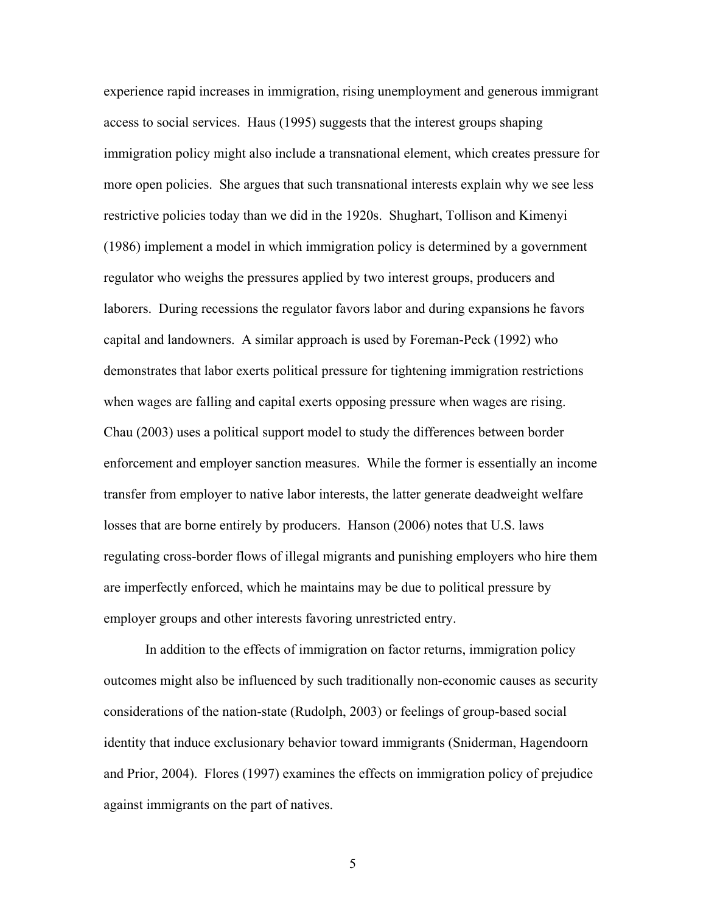experience rapid increases in immigration, rising unemployment and generous immigrant access to social services. Haus (1995) suggests that the interest groups shaping immigration policy might also include a transnational element, which creates pressure for more open policies. She argues that such transnational interests explain why we see less restrictive policies today than we did in the 1920s. Shughart, Tollison and Kimenyi (1986) implement a model in which immigration policy is determined by a government regulator who weighs the pressures applied by two interest groups, producers and laborers. During recessions the regulator favors labor and during expansions he favors capital and landowners. A similar approach is used by Foreman-Peck (1992) who demonstrates that labor exerts political pressure for tightening immigration restrictions when wages are falling and capital exerts opposing pressure when wages are rising. Chau (2003) uses a political support model to study the differences between border enforcement and employer sanction measures. While the former is essentially an income transfer from employer to native labor interests, the latter generate deadweight welfare losses that are borne entirely by producers. Hanson (2006) notes that U.S. laws regulating cross-border flows of illegal migrants and punishing employers who hire them are imperfectly enforced, which he maintains may be due to political pressure by employer groups and other interests favoring unrestricted entry.

 In addition to the effects of immigration on factor returns, immigration policy outcomes might also be influenced by such traditionally non-economic causes as security considerations of the nation-state (Rudolph, 2003) or feelings of group-based social identity that induce exclusionary behavior toward immigrants (Sniderman, Hagendoorn and Prior, 2004). Flores (1997) examines the effects on immigration policy of prejudice against immigrants on the part of natives.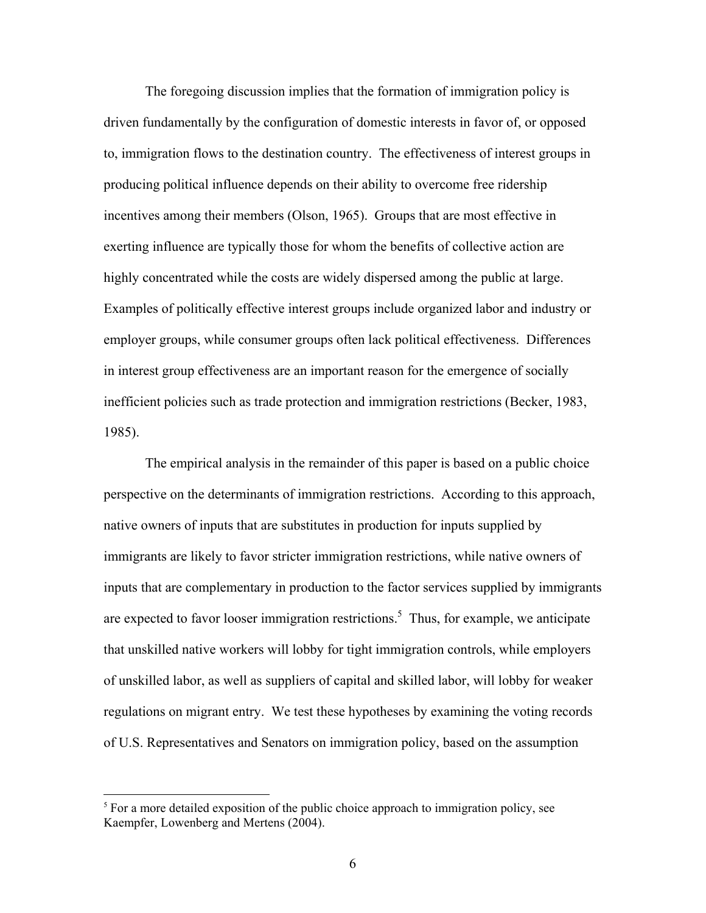The foregoing discussion implies that the formation of immigration policy is driven fundamentally by the configuration of domestic interests in favor of, or opposed to, immigration flows to the destination country. The effectiveness of interest groups in producing political influence depends on their ability to overcome free ridership incentives among their members (Olson, 1965). Groups that are most effective in exerting influence are typically those for whom the benefits of collective action are highly concentrated while the costs are widely dispersed among the public at large. Examples of politically effective interest groups include organized labor and industry or employer groups, while consumer groups often lack political effectiveness. Differences in interest group effectiveness are an important reason for the emergence of socially inefficient policies such as trade protection and immigration restrictions (Becker, 1983, 1985).

The empirical analysis in the remainder of this paper is based on a public choice perspective on the determinants of immigration restrictions. According to this approach, native owners of inputs that are substitutes in production for inputs supplied by immigrants are likely to favor stricter immigration restrictions, while native owners of inputs that are complementary in production to the factor services supplied by immigrants are expected to favor looser immigration restrictions.<sup>5</sup> Thus, for example, we anticipate that unskilled native workers will lobby for tight immigration controls, while employers of unskilled labor, as well as suppliers of capital and skilled labor, will lobby for weaker regulations on migrant entry. We test these hypotheses by examining the voting records of U.S. Representatives and Senators on immigration policy, based on the assumption

 $5$  For a more detailed exposition of the public choice approach to immigration policy, see Kaempfer, Lowenberg and Mertens (2004).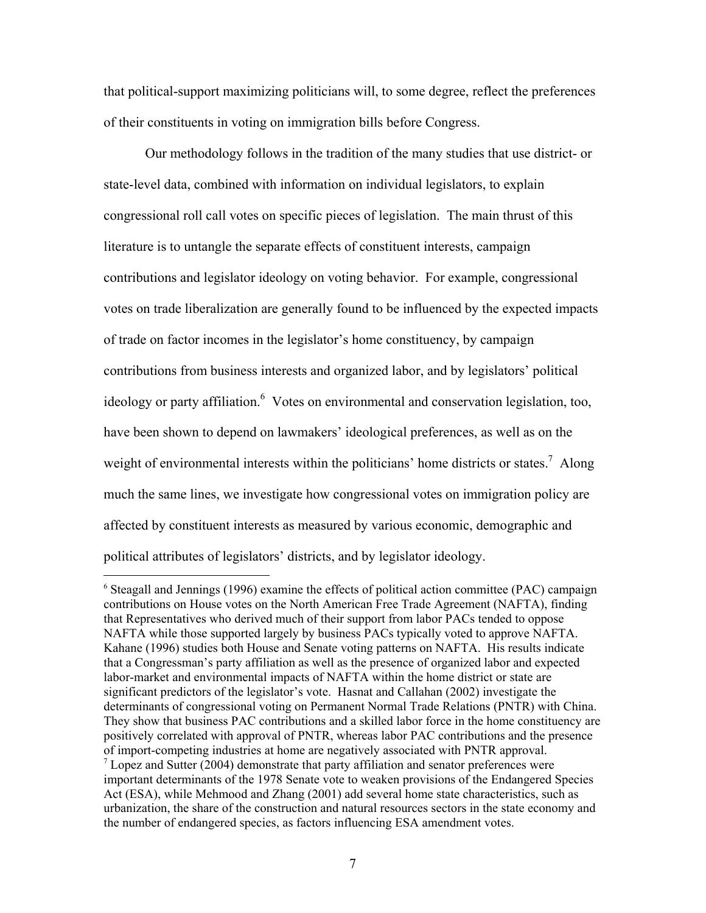that political-support maximizing politicians will, to some degree, reflect the preferences of their constituents in voting on immigration bills before Congress.

Our methodology follows in the tradition of the many studies that use district- or state-level data, combined with information on individual legislators, to explain congressional roll call votes on specific pieces of legislation. The main thrust of this literature is to untangle the separate effects of constituent interests, campaign contributions and legislator ideology on voting behavior. For example, congressional votes on trade liberalization are generally found to be influenced by the expected impacts of trade on factor incomes in the legislator's home constituency, by campaign contributions from business interests and organized labor, and by legislators' political ideology or party affiliation.<sup>6</sup> Votes on environmental and conservation legislation, too, have been shown to depend on lawmakers' ideological preferences, as well as on the weight of environmental interests within the politicians' home districts or states.<sup>7</sup> Along much the same lines, we investigate how congressional votes on immigration policy are affected by constituent interests as measured by various economic, demographic and political attributes of legislators' districts, and by legislator ideology.

<sup>&</sup>lt;sup>6</sup> Steagall and Jennings (1996) examine the effects of political action committee (PAC) campaign contributions on House votes on the North American Free Trade Agreement (NAFTA), finding that Representatives who derived much of their support from labor PACs tended to oppose NAFTA while those supported largely by business PACs typically voted to approve NAFTA. Kahane (1996) studies both House and Senate voting patterns on NAFTA. His results indicate that a Congressman's party affiliation as well as the presence of organized labor and expected labor-market and environmental impacts of NAFTA within the home district or state are significant predictors of the legislator's vote. Hasnat and Callahan (2002) investigate the determinants of congressional voting on Permanent Normal Trade Relations (PNTR) with China. They show that business PAC contributions and a skilled labor force in the home constituency are positively correlated with approval of PNTR, whereas labor PAC contributions and the presence of import-competing industries at home are negatively associated with PNTR approval.  $\frac{7}{1}$  Lopez and Sutter (2004) demonstrate that party affiliation and senator preferences were important determinants of the 1978 Senate vote to weaken provisions of the Endangered Species Act (ESA), while Mehmood and Zhang (2001) add several home state characteristics, such as urbanization, the share of the construction and natural resources sectors in the state economy and the number of endangered species, as factors influencing ESA amendment votes.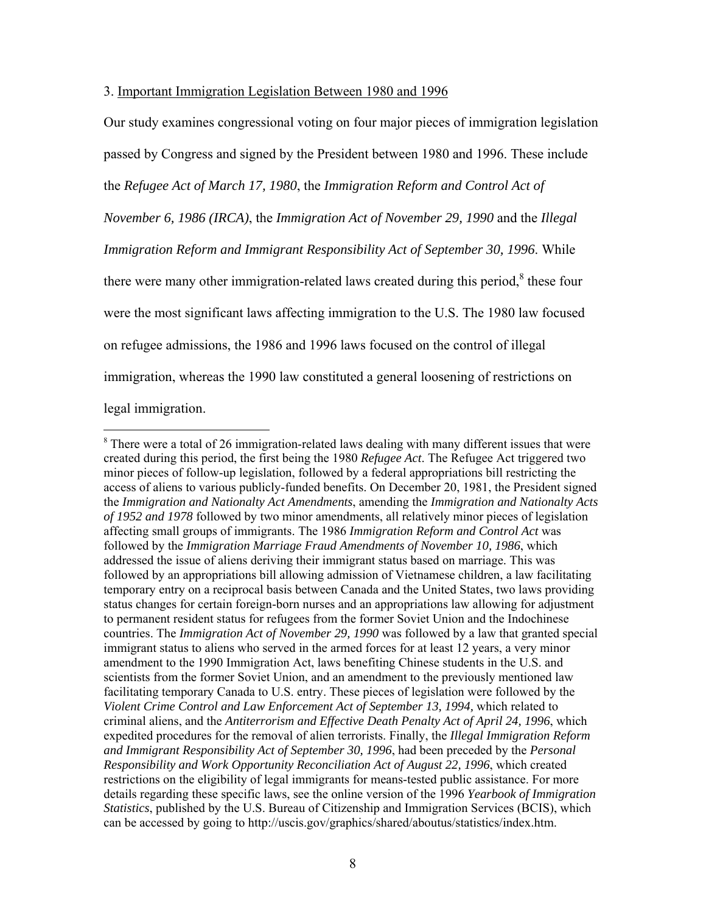#### 3. Important Immigration Legislation Between 1980 and 1996

 $\overline{a}$ 

Our study examines congressional voting on four major pieces of immigration legislation passed by Congress and signed by the President between 1980 and 1996. These include the *Refugee Act of March 17, 1980*, the *Immigration Reform and Control Act of November 6, 1986 (IRCA)*, the *Immigration Act of November 29, 1990* and the *Illegal Immigration Reform and Immigrant Responsibility Act of September 30, 1996*. While there were many other immigration-related laws created during this period, $8$  these four were the most significant laws affecting immigration to the U.S. The 1980 law focused on refugee admissions, the 1986 and 1996 laws focused on the control of illegal immigration, whereas the 1990 law constituted a general loosening of restrictions on legal immigration.

<sup>&</sup>lt;sup>8</sup> There were a total of 26 immigration-related laws dealing with many different issues that were created during this period, the first being the 1980 *Refugee Act*. The Refugee Act triggered two minor pieces of follow-up legislation, followed by a federal appropriations bill restricting the access of aliens to various publicly-funded benefits. On December 20, 1981, the President signed the *Immigration and Nationalty Act Amendments*, amending the *Immigration and Nationalty Acts of 1952 and 1978* followed by two minor amendments, all relatively minor pieces of legislation affecting small groups of immigrants. The 1986 *Immigration Reform and Control Act* was followed by the *Immigration Marriage Fraud Amendments of November 10, 1986*, which addressed the issue of aliens deriving their immigrant status based on marriage. This was followed by an appropriations bill allowing admission of Vietnamese children, a law facilitating temporary entry on a reciprocal basis between Canada and the United States, two laws providing status changes for certain foreign-born nurses and an appropriations law allowing for adjustment to permanent resident status for refugees from the former Soviet Union and the Indochinese countries. The *Immigration Act of November 29, 1990* was followed by a law that granted special immigrant status to aliens who served in the armed forces for at least 12 years, a very minor amendment to the 1990 Immigration Act, laws benefiting Chinese students in the U.S. and scientists from the former Soviet Union, and an amendment to the previously mentioned law facilitating temporary Canada to U.S. entry. These pieces of legislation were followed by the *Violent Crime Control and Law Enforcement Act of September 13, 1994,* which related to criminal aliens, and the *Antiterrorism and Effective Death Penalty Act of April 24, 1996*, which expedited procedures for the removal of alien terrorists. Finally, the *Illegal Immigration Reform and Immigrant Responsibility Act of September 30, 1996*, had been preceded by the *Personal Responsibility and Work Opportunity Reconciliation Act of August 22, 1996*, which created restrictions on the eligibility of legal immigrants for means-tested public assistance. For more details regarding these specific laws, see the online version of the 1996 *Yearbook of Immigration Statistics*, published by the U.S. Bureau of Citizenship and Immigration Services (BCIS), which can be accessed by going to http://uscis.gov/graphics/shared/aboutus/statistics/index.htm.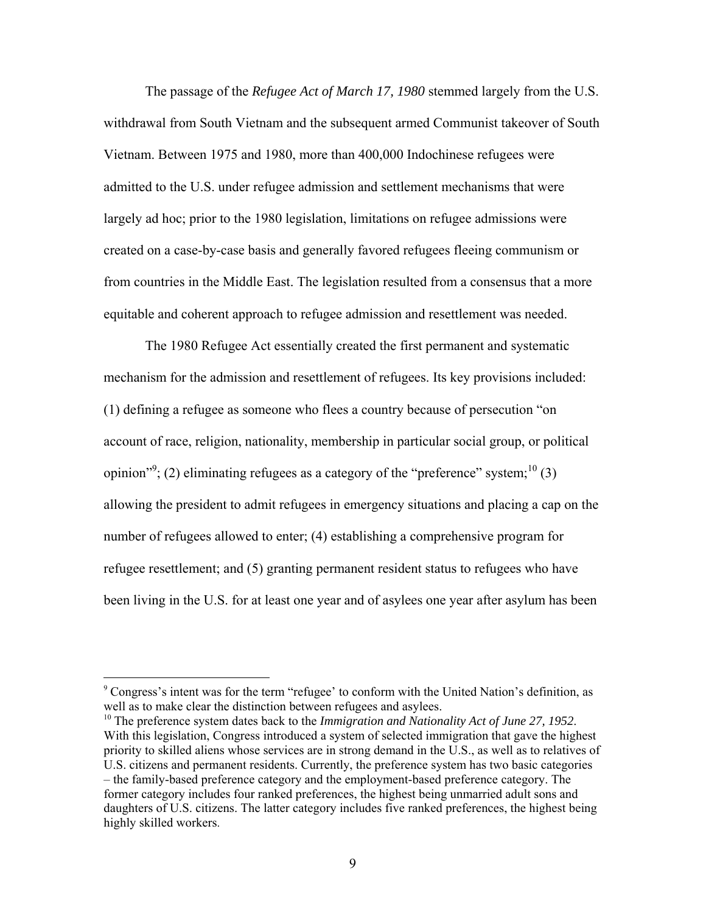The passage of the *Refugee Act of March 17, 1980* stemmed largely from the U.S. withdrawal from South Vietnam and the subsequent armed Communist takeover of South Vietnam. Between 1975 and 1980, more than 400,000 Indochinese refugees were admitted to the U.S. under refugee admission and settlement mechanisms that were largely ad hoc; prior to the 1980 legislation, limitations on refugee admissions were created on a case-by-case basis and generally favored refugees fleeing communism or from countries in the Middle East. The legislation resulted from a consensus that a more equitable and coherent approach to refugee admission and resettlement was needed.

The 1980 Refugee Act essentially created the first permanent and systematic mechanism for the admission and resettlement of refugees. Its key provisions included: (1) defining a refugee as someone who flees a country because of persecution "on account of race, religion, nationality, membership in particular social group, or political opinion"<sup>9</sup>; (2) eliminating refugees as a category of the "preference" system;<sup>10</sup> (3) allowing the president to admit refugees in emergency situations and placing a cap on the number of refugees allowed to enter; (4) establishing a comprehensive program for refugee resettlement; and (5) granting permanent resident status to refugees who have been living in the U.S. for at least one year and of asylees one year after asylum has been

 $\overline{a}$ 

<sup>10</sup> The preference system dates back to the *Immigration and Nationality Act of June 27, 1952*. With this legislation, Congress introduced a system of selected immigration that gave the highest priority to skilled aliens whose services are in strong demand in the U.S., as well as to relatives of U.S. citizens and permanent residents. Currently, the preference system has two basic categories – the family-based preference category and the employment-based preference category. The former category includes four ranked preferences, the highest being unmarried adult sons and daughters of U.S. citizens. The latter category includes five ranked preferences, the highest being highly skilled workers.

<sup>9</sup> Congress's intent was for the term "refugee' to conform with the United Nation's definition, as well as to make clear the distinction between refugees and asylees.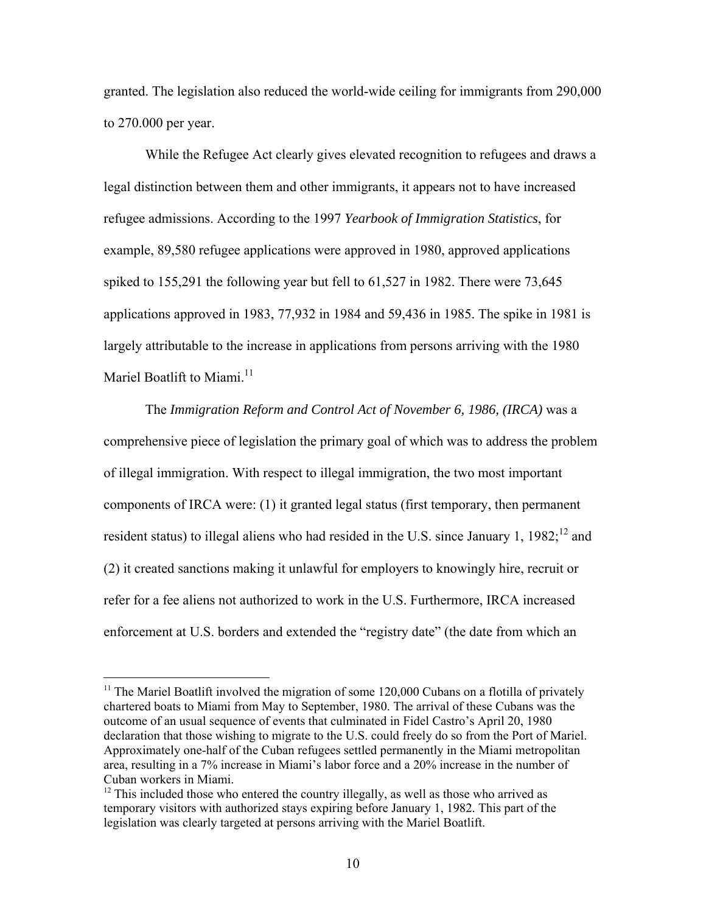granted. The legislation also reduced the world-wide ceiling for immigrants from 290,000 to 270.000 per year.

While the Refugee Act clearly gives elevated recognition to refugees and draws a legal distinction between them and other immigrants, it appears not to have increased refugee admissions. According to the 1997 *Yearbook of Immigration Statistics*, for example, 89,580 refugee applications were approved in 1980, approved applications spiked to 155,291 the following year but fell to 61,527 in 1982. There were 73,645 applications approved in 1983, 77,932 in 1984 and 59,436 in 1985. The spike in 1981 is largely attributable to the increase in applications from persons arriving with the 1980 Mariel Boatlift to Miami. $11$ 

The *Immigration Reform and Control Act of November 6, 1986, (IRCA)* was a comprehensive piece of legislation the primary goal of which was to address the problem of illegal immigration. With respect to illegal immigration, the two most important components of IRCA were: (1) it granted legal status (first temporary, then permanent resident status) to illegal aliens who had resided in the U.S. since January 1,  $1982$ ;<sup>12</sup> and (2) it created sanctions making it unlawful for employers to knowingly hire, recruit or refer for a fee aliens not authorized to work in the U.S. Furthermore, IRCA increased enforcement at U.S. borders and extended the "registry date" (the date from which an

 $11$  The Mariel Boatlift involved the migration of some 120,000 Cubans on a flotilla of privately chartered boats to Miami from May to September, 1980. The arrival of these Cubans was the outcome of an usual sequence of events that culminated in Fidel Castro's April 20, 1980 declaration that those wishing to migrate to the U.S. could freely do so from the Port of Mariel. Approximately one-half of the Cuban refugees settled permanently in the Miami metropolitan area, resulting in a 7% increase in Miami's labor force and a 20% increase in the number of Cuban workers in Miami.

<sup>&</sup>lt;sup>12</sup> This included those who entered the country illegally, as well as those who arrived as temporary visitors with authorized stays expiring before January 1, 1982. This part of the legislation was clearly targeted at persons arriving with the Mariel Boatlift.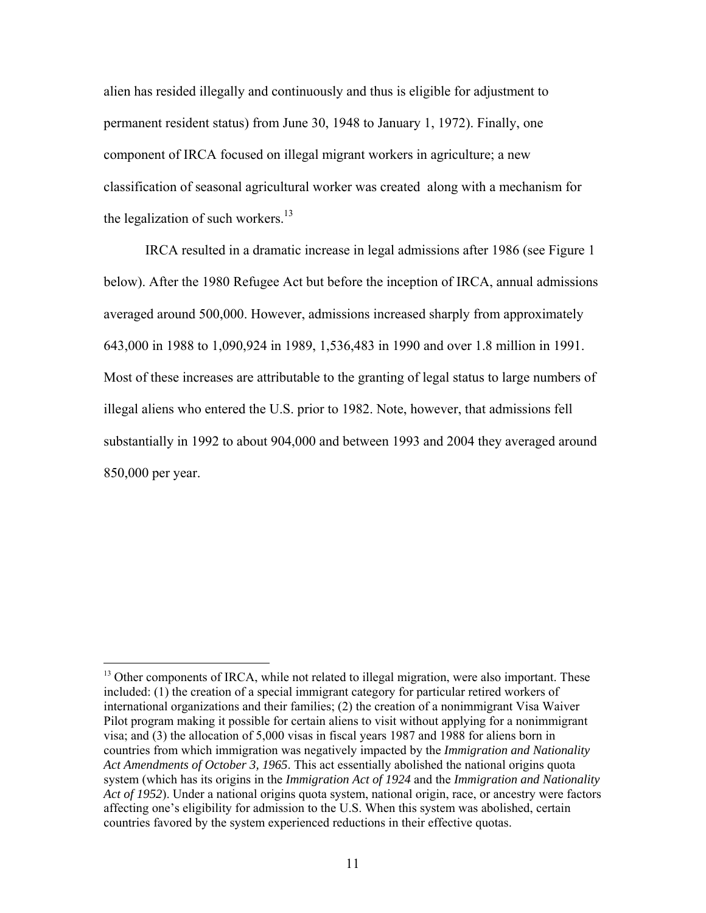alien has resided illegally and continuously and thus is eligible for adjustment to permanent resident status) from June 30, 1948 to January 1, 1972). Finally, one component of IRCA focused on illegal migrant workers in agriculture; a new classification of seasonal agricultural worker was created along with a mechanism for the legalization of such workers. $13$ 

IRCA resulted in a dramatic increase in legal admissions after 1986 (see Figure 1 below). After the 1980 Refugee Act but before the inception of IRCA, annual admissions averaged around 500,000. However, admissions increased sharply from approximately 643,000 in 1988 to 1,090,924 in 1989, 1,536,483 in 1990 and over 1.8 million in 1991. Most of these increases are attributable to the granting of legal status to large numbers of illegal aliens who entered the U.S. prior to 1982. Note, however, that admissions fell substantially in 1992 to about 904,000 and between 1993 and 2004 they averaged around 850,000 per year.

<sup>&</sup>lt;sup>13</sup> Other components of IRCA, while not related to illegal migration, were also important. These included: (1) the creation of a special immigrant category for particular retired workers of international organizations and their families; (2) the creation of a nonimmigrant Visa Waiver Pilot program making it possible for certain aliens to visit without applying for a nonimmigrant visa; and (3) the allocation of 5,000 visas in fiscal years 1987 and 1988 for aliens born in countries from which immigration was negatively impacted by the *Immigration and Nationality Act Amendments of October 3, 1965*. This act essentially abolished the national origins quota system (which has its origins in the *Immigration Act of 1924* and the *Immigration and Nationality Act of 1952*). Under a national origins quota system, national origin, race, or ancestry were factors affecting one's eligibility for admission to the U.S. When this system was abolished, certain countries favored by the system experienced reductions in their effective quotas.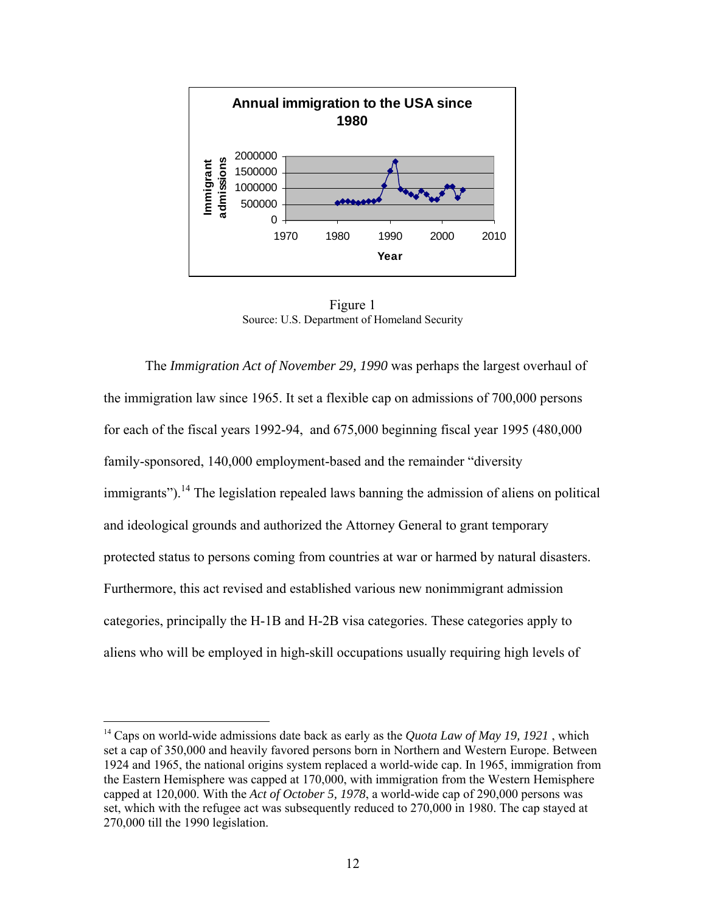

Figure 1 Source: U.S. Department of Homeland Security

The *Immigration Act of November 29, 1990* was perhaps the largest overhaul of the immigration law since 1965. It set a flexible cap on admissions of 700,000 persons for each of the fiscal years 1992-94, and 675,000 beginning fiscal year 1995 (480,000 family-sponsored, 140,000 employment-based and the remainder "diversity  $\text{immigrams''}$ ).<sup>14</sup> The legislation repealed laws banning the admission of aliens on political and ideological grounds and authorized the Attorney General to grant temporary protected status to persons coming from countries at war or harmed by natural disasters. Furthermore, this act revised and established various new nonimmigrant admission categories, principally the H-1B and H-2B visa categories. These categories apply to aliens who will be employed in high-skill occupations usually requiring high levels of

 $\overline{a}$ 

<sup>14</sup> Caps on world-wide admissions date back as early as the *Quota Law of May 19, 1921* , which set a cap of 350,000 and heavily favored persons born in Northern and Western Europe. Between 1924 and 1965, the national origins system replaced a world-wide cap. In 1965, immigration from the Eastern Hemisphere was capped at 170,000, with immigration from the Western Hemisphere capped at 120,000. With the *Act of October 5, 1978*, a world-wide cap of 290,000 persons was set, which with the refugee act was subsequently reduced to 270,000 in 1980. The cap stayed at 270,000 till the 1990 legislation.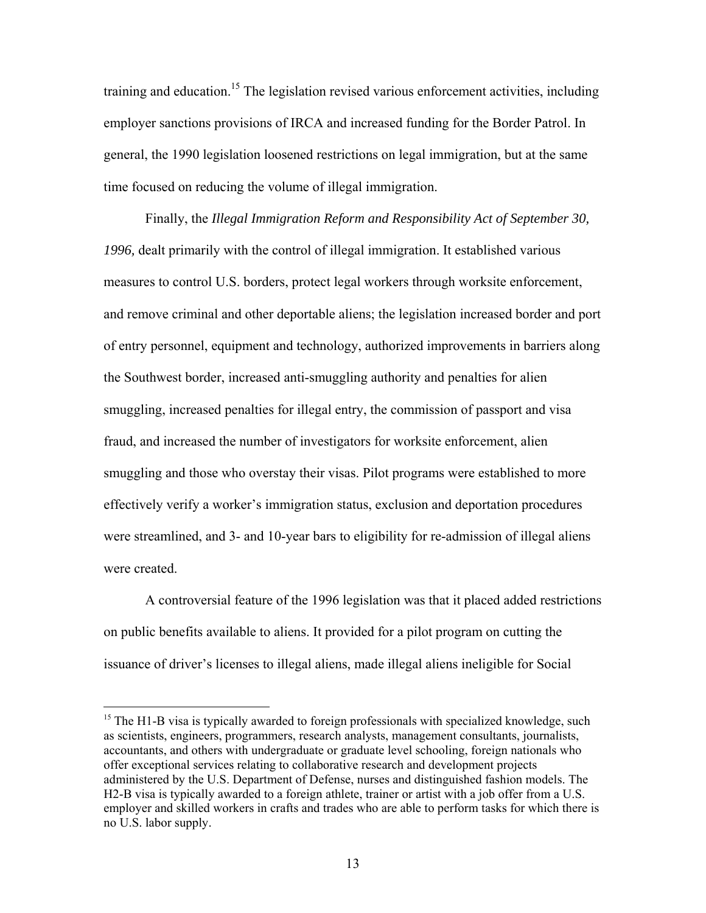training and education.<sup>15</sup> The legislation revised various enforcement activities, including employer sanctions provisions of IRCA and increased funding for the Border Patrol. In general, the 1990 legislation loosened restrictions on legal immigration, but at the same time focused on reducing the volume of illegal immigration.

Finally, the *Illegal Immigration Reform and Responsibility Act of September 30, 1996,* dealt primarily with the control of illegal immigration. It established various measures to control U.S. borders, protect legal workers through worksite enforcement, and remove criminal and other deportable aliens; the legislation increased border and port of entry personnel, equipment and technology, authorized improvements in barriers along the Southwest border, increased anti-smuggling authority and penalties for alien smuggling, increased penalties for illegal entry, the commission of passport and visa fraud, and increased the number of investigators for worksite enforcement, alien smuggling and those who overstay their visas. Pilot programs were established to more effectively verify a worker's immigration status, exclusion and deportation procedures were streamlined, and 3- and 10-year bars to eligibility for re-admission of illegal aliens were created.

A controversial feature of the 1996 legislation was that it placed added restrictions on public benefits available to aliens. It provided for a pilot program on cutting the issuance of driver's licenses to illegal aliens, made illegal aliens ineligible for Social

 $\overline{a}$ 

 $<sup>15</sup>$  The H1-B visa is typically awarded to foreign professionals with specialized knowledge, such</sup> as scientists, engineers, programmers, research analysts, management consultants, journalists, accountants, and others with undergraduate or graduate level schooling, foreign nationals who offer exceptional services relating to collaborative research and development projects administered by the U.S. Department of Defense, nurses and distinguished fashion models. The H2-B visa is typically awarded to a foreign athlete, trainer or artist with a job offer from a U.S. employer and skilled workers in crafts and trades who are able to perform tasks for which there is no U.S. labor supply.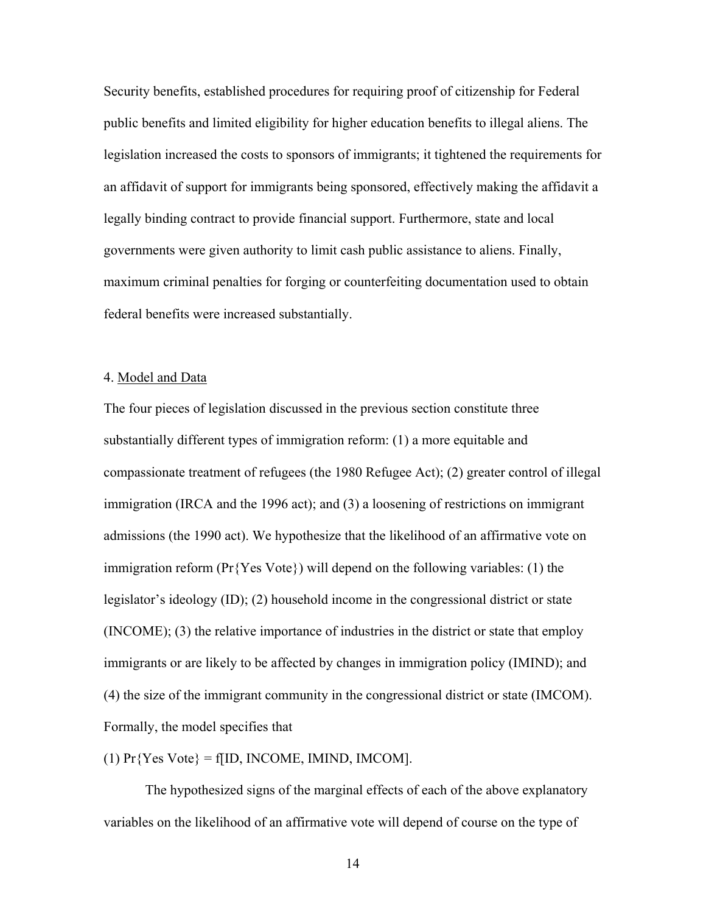Security benefits, established procedures for requiring proof of citizenship for Federal public benefits and limited eligibility for higher education benefits to illegal aliens. The legislation increased the costs to sponsors of immigrants; it tightened the requirements for an affidavit of support for immigrants being sponsored, effectively making the affidavit a legally binding contract to provide financial support. Furthermore, state and local governments were given authority to limit cash public assistance to aliens. Finally, maximum criminal penalties for forging or counterfeiting documentation used to obtain federal benefits were increased substantially.

### 4. Model and Data

The four pieces of legislation discussed in the previous section constitute three substantially different types of immigration reform: (1) a more equitable and compassionate treatment of refugees (the 1980 Refugee Act); (2) greater control of illegal immigration (IRCA and the 1996 act); and (3) a loosening of restrictions on immigrant admissions (the 1990 act). We hypothesize that the likelihood of an affirmative vote on immigration reform ( $Pr\{Yes\ Vote\})$  will depend on the following variables: (1) the legislator's ideology (ID); (2) household income in the congressional district or state (INCOME); (3) the relative importance of industries in the district or state that employ immigrants or are likely to be affected by changes in immigration policy (IMIND); and (4) the size of the immigrant community in the congressional district or state (IMCOM). Formally, the model specifies that

(1)  $Pr{Yes \space Vote} = f[ID, INCOME, IMIND, IMCOM].$ 

The hypothesized signs of the marginal effects of each of the above explanatory variables on the likelihood of an affirmative vote will depend of course on the type of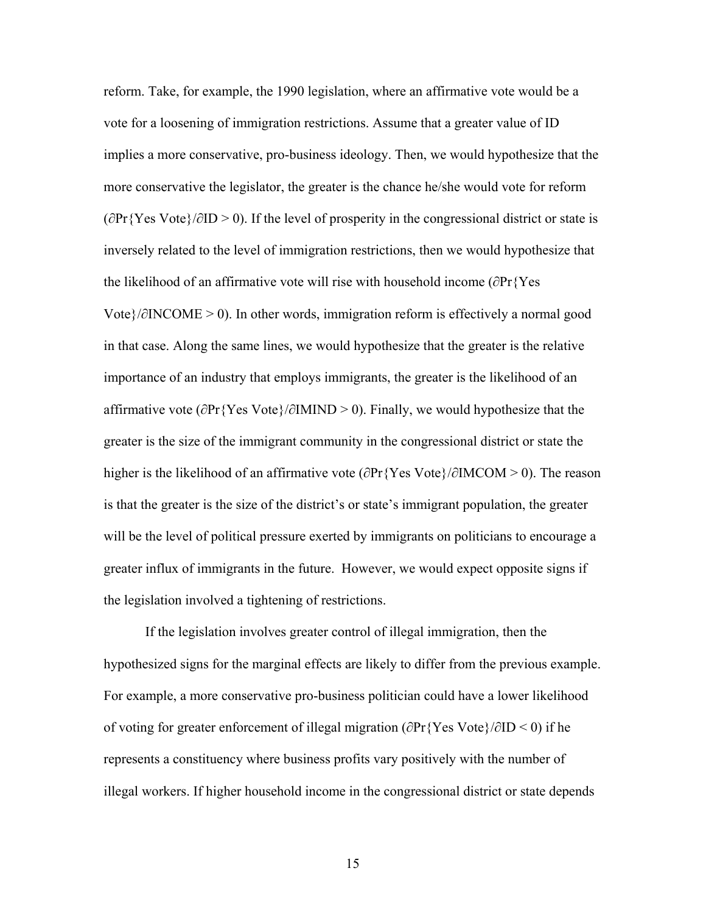reform. Take, for example, the 1990 legislation, where an affirmative vote would be a vote for a loosening of immigration restrictions. Assume that a greater value of ID implies a more conservative, pro-business ideology. Then, we would hypothesize that the more conservative the legislator, the greater is the chance he/she would vote for reform (∂Pr{Yes Vote}/∂ID > 0). If the level of prosperity in the congressional district or state is inversely related to the level of immigration restrictions, then we would hypothesize that the likelihood of an affirmative vote will rise with household income (∂Pr{Yes Vote}/∂INCOME > 0). In other words, immigration reform is effectively a normal good in that case. Along the same lines, we would hypothesize that the greater is the relative importance of an industry that employs immigrants, the greater is the likelihood of an affirmative vote (∂Pr{Yes Vote}/∂IMIND > 0). Finally, we would hypothesize that the greater is the size of the immigrant community in the congressional district or state the higher is the likelihood of an affirmative vote (∂Pr{Yes Vote}/∂IMCOM > 0). The reason is that the greater is the size of the district's or state's immigrant population, the greater will be the level of political pressure exerted by immigrants on politicians to encourage a greater influx of immigrants in the future. However, we would expect opposite signs if the legislation involved a tightening of restrictions.

If the legislation involves greater control of illegal immigration, then the hypothesized signs for the marginal effects are likely to differ from the previous example. For example, a more conservative pro-business politician could have a lower likelihood of voting for greater enforcement of illegal migration (∂Pr{Yes Vote}/∂ID < 0) if he represents a constituency where business profits vary positively with the number of illegal workers. If higher household income in the congressional district or state depends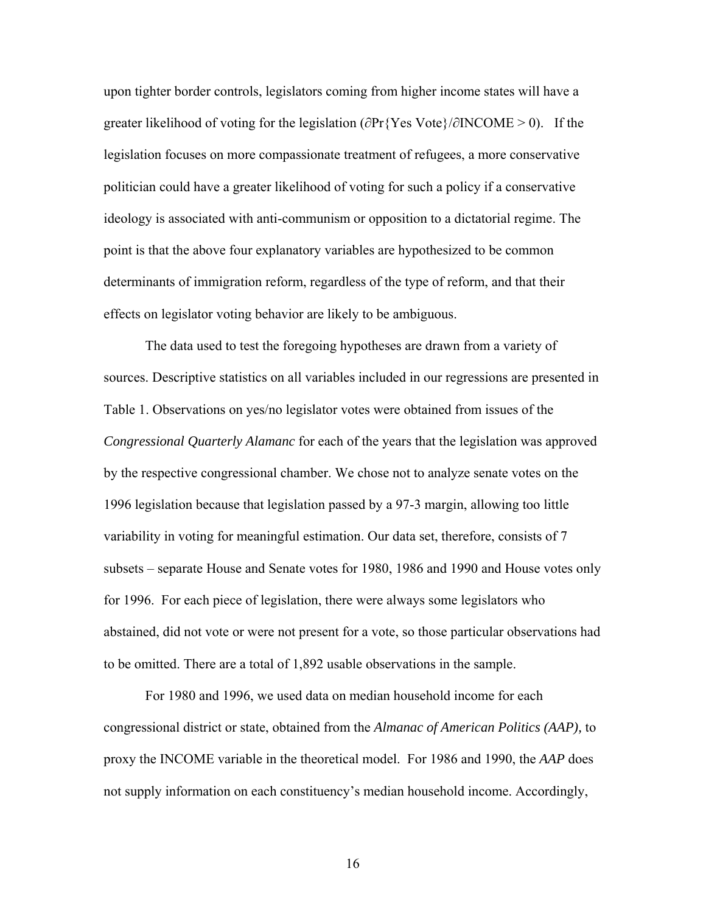upon tighter border controls, legislators coming from higher income states will have a greater likelihood of voting for the legislation (∂Pr{Yes Vote}/∂INCOME > 0). If the legislation focuses on more compassionate treatment of refugees, a more conservative politician could have a greater likelihood of voting for such a policy if a conservative ideology is associated with anti-communism or opposition to a dictatorial regime. The point is that the above four explanatory variables are hypothesized to be common determinants of immigration reform, regardless of the type of reform, and that their effects on legislator voting behavior are likely to be ambiguous.

The data used to test the foregoing hypotheses are drawn from a variety of sources. Descriptive statistics on all variables included in our regressions are presented in Table 1. Observations on yes/no legislator votes were obtained from issues of the *Congressional Quarterly Alamanc* for each of the years that the legislation was approved by the respective congressional chamber. We chose not to analyze senate votes on the 1996 legislation because that legislation passed by a 97-3 margin, allowing too little variability in voting for meaningful estimation. Our data set, therefore, consists of 7 subsets – separate House and Senate votes for 1980, 1986 and 1990 and House votes only for 1996. For each piece of legislation, there were always some legislators who abstained, did not vote or were not present for a vote, so those particular observations had to be omitted. There are a total of 1,892 usable observations in the sample.

For 1980 and 1996, we used data on median household income for each congressional district or state, obtained from the *Almanac of American Politics (AAP),* to proxy the INCOME variable in the theoretical model. For 1986 and 1990, the *AAP* does not supply information on each constituency's median household income. Accordingly,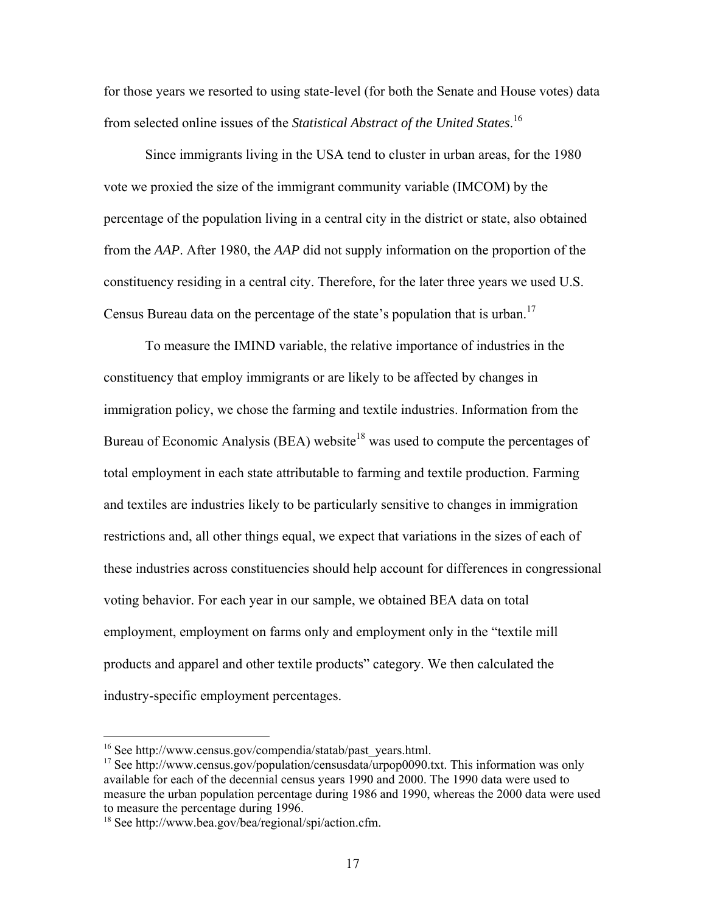for those years we resorted to using state-level (for both the Senate and House votes) data from selected online issues of the *Statistical Abstract of the United States*. 16

Since immigrants living in the USA tend to cluster in urban areas, for the 1980 vote we proxied the size of the immigrant community variable (IMCOM) by the percentage of the population living in a central city in the district or state, also obtained from the *AAP*. After 1980, the *AAP* did not supply information on the proportion of the constituency residing in a central city. Therefore, for the later three years we used U.S. Census Bureau data on the percentage of the state's population that is urban.<sup>17</sup>

To measure the IMIND variable, the relative importance of industries in the constituency that employ immigrants or are likely to be affected by changes in immigration policy, we chose the farming and textile industries. Information from the Bureau of Economic Analysis (BEA) website<sup>18</sup> was used to compute the percentages of total employment in each state attributable to farming and textile production. Farming and textiles are industries likely to be particularly sensitive to changes in immigration restrictions and, all other things equal, we expect that variations in the sizes of each of these industries across constituencies should help account for differences in congressional voting behavior. For each year in our sample, we obtained BEA data on total employment, employment on farms only and employment only in the "textile mill products and apparel and other textile products" category. We then calculated the industry-specific employment percentages.

 $\overline{a}$ 

<sup>&</sup>lt;sup>16</sup> See http://www.census.gov/compendia/statab/past\_years.html.<br><sup>17</sup> See http://www.census.gov/population/censusdata/urpop0090.txt. This information was only available for each of the decennial census years 1990 and 2000. The 1990 data were used to measure the urban population percentage during 1986 and 1990, whereas the 2000 data were used to measure the percentage during 1996.

<sup>18</sup> See http://www.bea.gov/bea/regional/spi/action.cfm.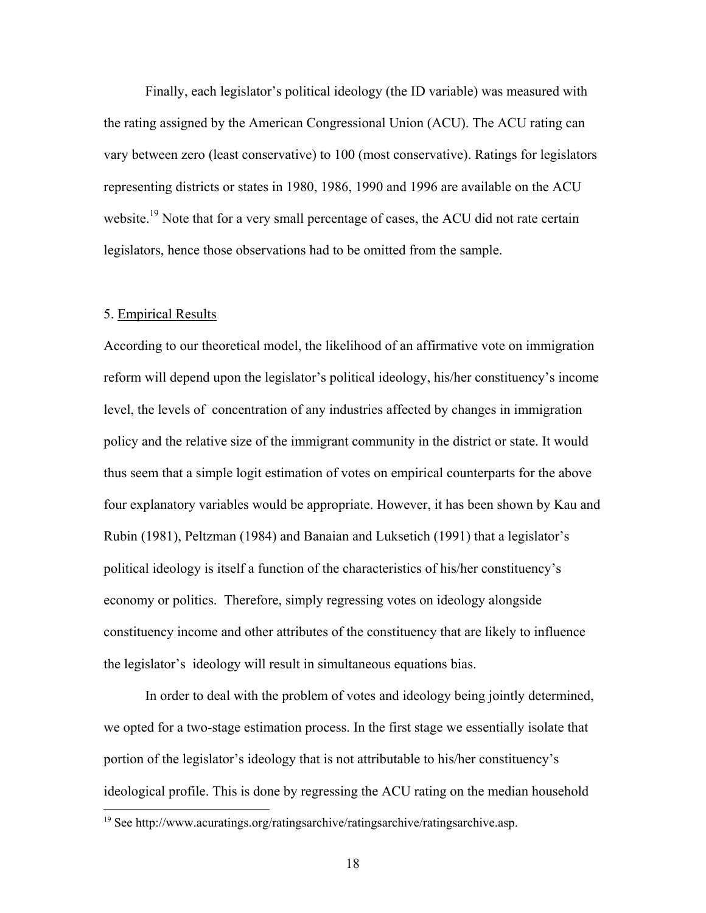Finally, each legislator's political ideology (the ID variable) was measured with the rating assigned by the American Congressional Union (ACU). The ACU rating can vary between zero (least conservative) to 100 (most conservative). Ratings for legislators representing districts or states in 1980, 1986, 1990 and 1996 are available on the ACU website.<sup>19</sup> Note that for a very small percentage of cases, the ACU did not rate certain legislators, hence those observations had to be omitted from the sample.

#### 5. Empirical Results

 $\overline{a}$ 

According to our theoretical model, the likelihood of an affirmative vote on immigration reform will depend upon the legislator's political ideology, his/her constituency's income level, the levels of concentration of any industries affected by changes in immigration policy and the relative size of the immigrant community in the district or state. It would thus seem that a simple logit estimation of votes on empirical counterparts for the above four explanatory variables would be appropriate. However, it has been shown by Kau and Rubin (1981), Peltzman (1984) and Banaian and Luksetich (1991) that a legislator's political ideology is itself a function of the characteristics of his/her constituency's economy or politics. Therefore, simply regressing votes on ideology alongside constituency income and other attributes of the constituency that are likely to influence the legislator's ideology will result in simultaneous equations bias.

In order to deal with the problem of votes and ideology being jointly determined, we opted for a two-stage estimation process. In the first stage we essentially isolate that portion of the legislator's ideology that is not attributable to his/her constituency's ideological profile. This is done by regressing the ACU rating on the median household

<sup>19</sup> See http://www.acuratings.org/ratingsarchive/ratingsarchive/ratingsarchive.asp.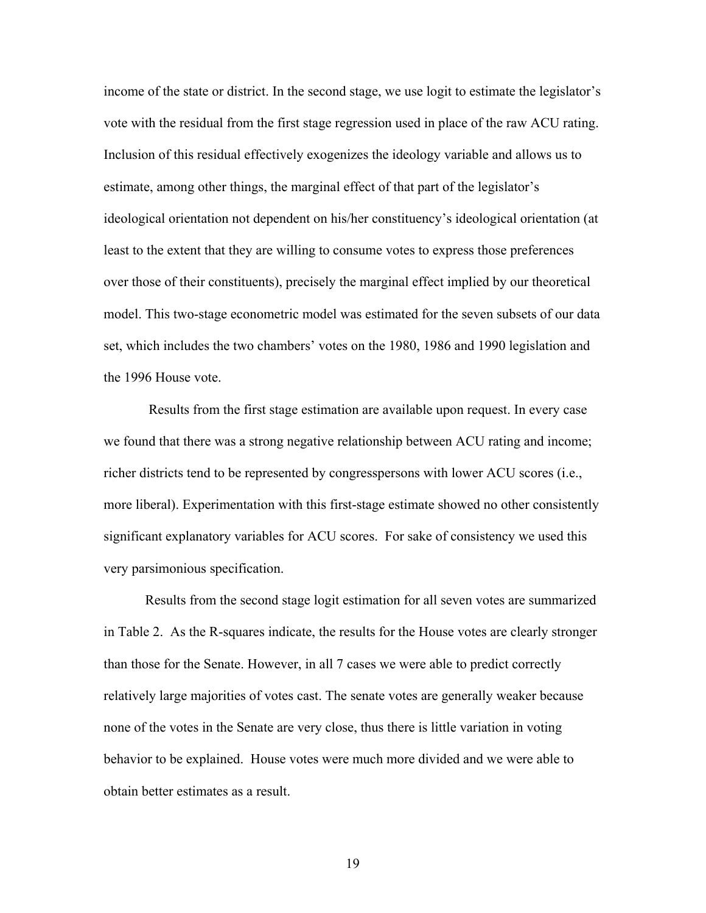income of the state or district. In the second stage, we use logit to estimate the legislator's vote with the residual from the first stage regression used in place of the raw ACU rating. Inclusion of this residual effectively exogenizes the ideology variable and allows us to estimate, among other things, the marginal effect of that part of the legislator's ideological orientation not dependent on his/her constituency's ideological orientation (at least to the extent that they are willing to consume votes to express those preferences over those of their constituents), precisely the marginal effect implied by our theoretical model. This two-stage econometric model was estimated for the seven subsets of our data set, which includes the two chambers' votes on the 1980, 1986 and 1990 legislation and the 1996 House vote.

 Results from the first stage estimation are available upon request. In every case we found that there was a strong negative relationship between ACU rating and income; richer districts tend to be represented by congresspersons with lower ACU scores (i.e., more liberal). Experimentation with this first-stage estimate showed no other consistently significant explanatory variables for ACU scores. For sake of consistency we used this very parsimonious specification.

Results from the second stage logit estimation for all seven votes are summarized in Table 2. As the R-squares indicate, the results for the House votes are clearly stronger than those for the Senate. However, in all 7 cases we were able to predict correctly relatively large majorities of votes cast. The senate votes are generally weaker because none of the votes in the Senate are very close, thus there is little variation in voting behavior to be explained. House votes were much more divided and we were able to obtain better estimates as a result.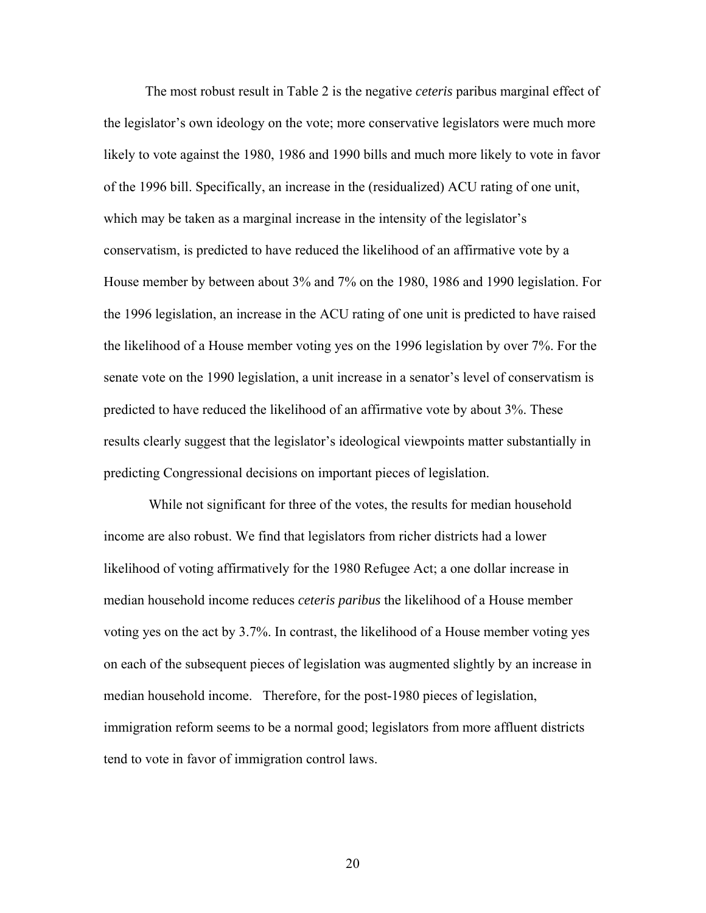The most robust result in Table 2 is the negative *ceteris* paribus marginal effect of the legislator's own ideology on the vote; more conservative legislators were much more likely to vote against the 1980, 1986 and 1990 bills and much more likely to vote in favor of the 1996 bill. Specifically, an increase in the (residualized) ACU rating of one unit, which may be taken as a marginal increase in the intensity of the legislator's conservatism, is predicted to have reduced the likelihood of an affirmative vote by a House member by between about 3% and 7% on the 1980, 1986 and 1990 legislation. For the 1996 legislation, an increase in the ACU rating of one unit is predicted to have raised the likelihood of a House member voting yes on the 1996 legislation by over 7%. For the senate vote on the 1990 legislation, a unit increase in a senator's level of conservatism is predicted to have reduced the likelihood of an affirmative vote by about 3%. These results clearly suggest that the legislator's ideological viewpoints matter substantially in predicting Congressional decisions on important pieces of legislation.

 While not significant for three of the votes, the results for median household income are also robust. We find that legislators from richer districts had a lower likelihood of voting affirmatively for the 1980 Refugee Act; a one dollar increase in median household income reduces *ceteris paribus* the likelihood of a House member voting yes on the act by 3.7%. In contrast, the likelihood of a House member voting yes on each of the subsequent pieces of legislation was augmented slightly by an increase in median household income. Therefore, for the post-1980 pieces of legislation, immigration reform seems to be a normal good; legislators from more affluent districts tend to vote in favor of immigration control laws.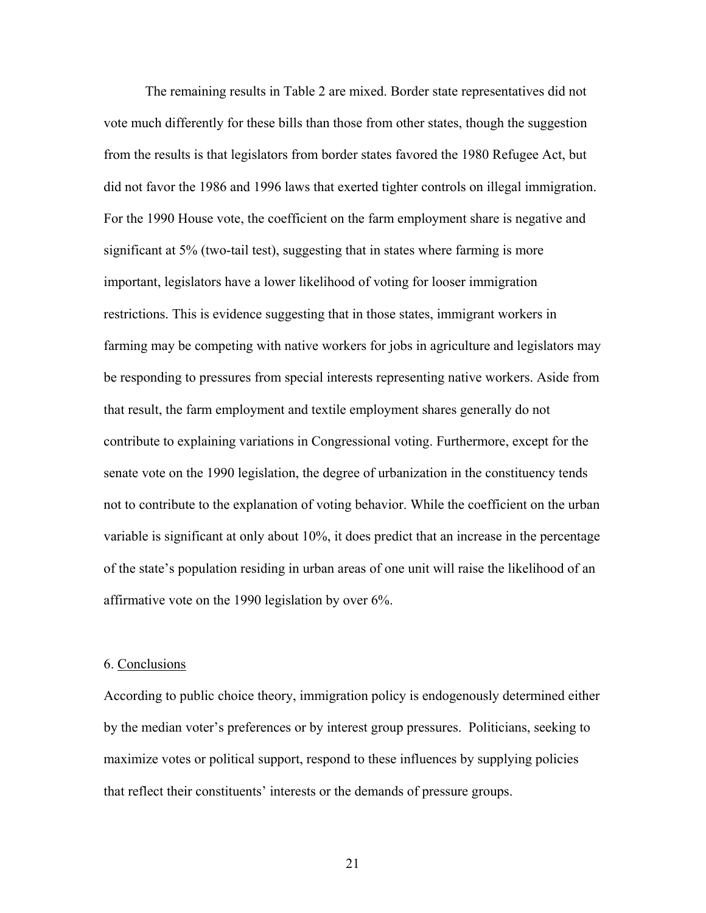The remaining results in Table 2 are mixed. Border state representatives did not vote much differently for these bills than those from other states, though the suggestion from the results is that legislators from border states favored the 1980 Refugee Act, but did not favor the 1986 and 1996 laws that exerted tighter controls on illegal immigration. For the 1990 House vote, the coefficient on the farm employment share is negative and significant at 5% (two-tail test), suggesting that in states where farming is more important, legislators have a lower likelihood of voting for looser immigration restrictions. This is evidence suggesting that in those states, immigrant workers in farming may be competing with native workers for jobs in agriculture and legislators may be responding to pressures from special interests representing native workers. Aside from that result, the farm employment and textile employment shares generally do not contribute to explaining variations in Congressional voting. Furthermore, except for the senate vote on the 1990 legislation, the degree of urbanization in the constituency tends not to contribute to the explanation of voting behavior. While the coefficient on the urban variable is significant at only about 10%, it does predict that an increase in the percentage of the state's population residing in urban areas of one unit will raise the likelihood of an affirmative vote on the 1990 legislation by over 6%.

#### 6. Conclusions

According to public choice theory, immigration policy is endogenously determined either by the median voter's preferences or by interest group pressures. Politicians, seeking to maximize votes or political support, respond to these influences by supplying policies that reflect their constituents' interests or the demands of pressure groups.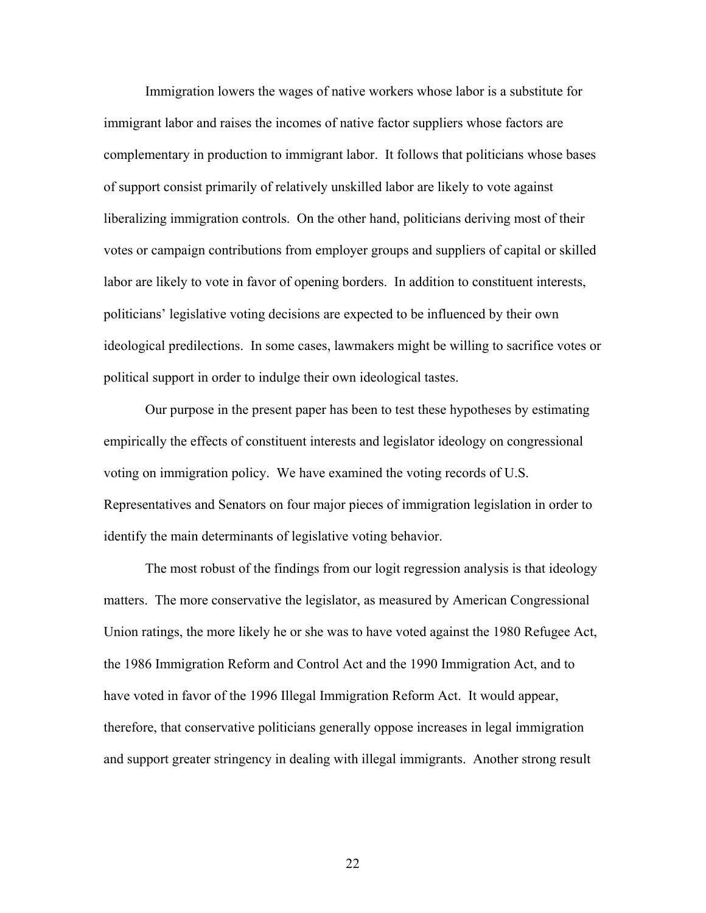Immigration lowers the wages of native workers whose labor is a substitute for immigrant labor and raises the incomes of native factor suppliers whose factors are complementary in production to immigrant labor. It follows that politicians whose bases of support consist primarily of relatively unskilled labor are likely to vote against liberalizing immigration controls. On the other hand, politicians deriving most of their votes or campaign contributions from employer groups and suppliers of capital or skilled labor are likely to vote in favor of opening borders. In addition to constituent interests, politicians' legislative voting decisions are expected to be influenced by their own ideological predilections. In some cases, lawmakers might be willing to sacrifice votes or political support in order to indulge their own ideological tastes.

Our purpose in the present paper has been to test these hypotheses by estimating empirically the effects of constituent interests and legislator ideology on congressional voting on immigration policy. We have examined the voting records of U.S. Representatives and Senators on four major pieces of immigration legislation in order to identify the main determinants of legislative voting behavior.

The most robust of the findings from our logit regression analysis is that ideology matters. The more conservative the legislator, as measured by American Congressional Union ratings, the more likely he or she was to have voted against the 1980 Refugee Act, the 1986 Immigration Reform and Control Act and the 1990 Immigration Act, and to have voted in favor of the 1996 Illegal Immigration Reform Act. It would appear, therefore, that conservative politicians generally oppose increases in legal immigration and support greater stringency in dealing with illegal immigrants. Another strong result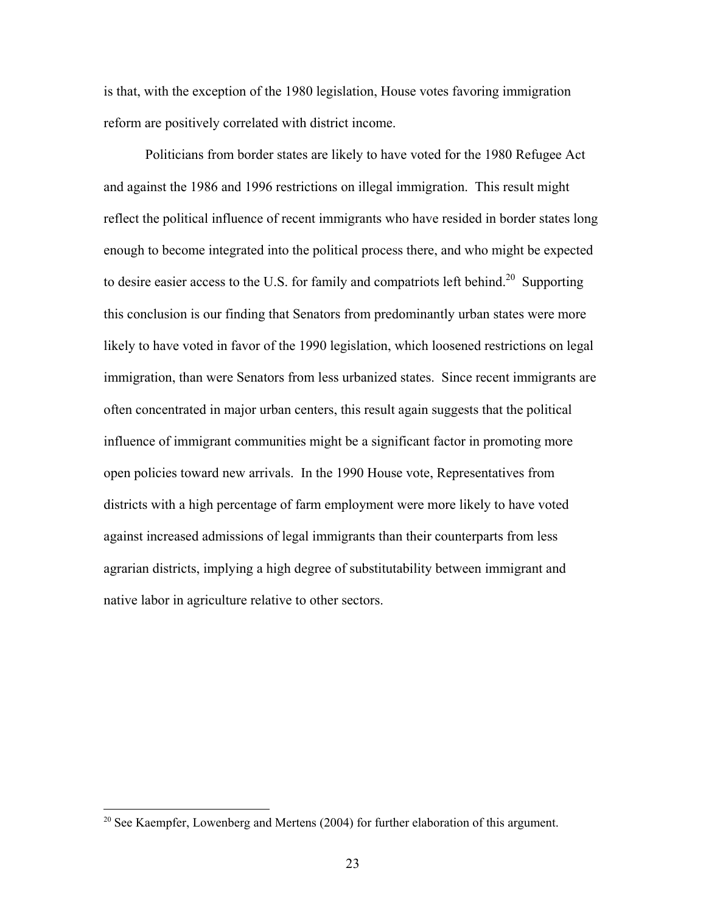is that, with the exception of the 1980 legislation, House votes favoring immigration reform are positively correlated with district income.

Politicians from border states are likely to have voted for the 1980 Refugee Act and against the 1986 and 1996 restrictions on illegal immigration. This result might reflect the political influence of recent immigrants who have resided in border states long enough to become integrated into the political process there, and who might be expected to desire easier access to the U.S. for family and compatriots left behind.<sup>20</sup> Supporting this conclusion is our finding that Senators from predominantly urban states were more likely to have voted in favor of the 1990 legislation, which loosened restrictions on legal immigration, than were Senators from less urbanized states. Since recent immigrants are often concentrated in major urban centers, this result again suggests that the political influence of immigrant communities might be a significant factor in promoting more open policies toward new arrivals. In the 1990 House vote, Representatives from districts with a high percentage of farm employment were more likely to have voted against increased admissions of legal immigrants than their counterparts from less agrarian districts, implying a high degree of substitutability between immigrant and native labor in agriculture relative to other sectors.

<u>.</u>

<sup>&</sup>lt;sup>20</sup> See Kaempfer, Lowenberg and Mertens (2004) for further elaboration of this argument.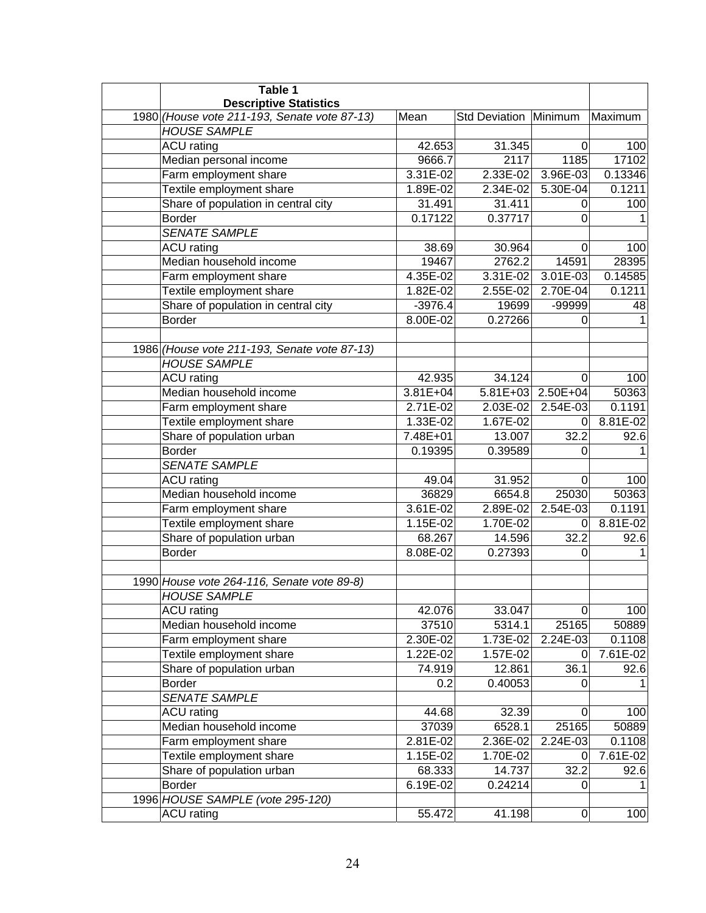| Table 1<br><b>Descriptive Statistics</b>     |              |                       |                   |          |
|----------------------------------------------|--------------|-----------------------|-------------------|----------|
| 1980 (House vote 211-193, Senate vote 87-13) | Mean         | Std Deviation Minimum |                   | Maximum  |
| <b>HOUSE SAMPLE</b>                          |              |                       |                   |          |
| <b>ACU</b> rating                            | 42.653       | 31.345                | 0                 | 100      |
| Median personal income                       | 9666.7       | 2117                  | 1185              | 17102    |
| Farm employment share                        | 3.31E-02     | 2.33E-02              | 3.96E-03          | 0.13346  |
| Textile employment share                     | 1.89E-02     | 2.34E-02              | 5.30E-04          | 0.1211   |
| Share of population in central city          | 31.491       | 31.411                | 0                 | 100      |
| <b>Border</b>                                | 0.17122      | 0.37717               | $\Omega$          |          |
| <b>SENATE SAMPLE</b>                         |              |                       |                   |          |
| ACU rating                                   | 38.69        | 30.964                | 0                 | 100      |
| Median household income                      | 19467        | 2762.2                | 14591             | 28395    |
| Farm employment share                        | 4.35E-02     | 3.31E-02              | 3.01E-03          | 0.14585  |
| Textile employment share                     | 1.82E-02     | 2.55E-02              | 2.70E-04          | 0.1211   |
| Share of population in central city          | $-3976.4$    | 19699                 | -99999            | 48       |
| <b>Border</b>                                | 8.00E-02     | 0.27266               | $\Omega$          |          |
|                                              |              |                       |                   |          |
| 1986 (House vote 211-193, Senate vote 87-13) |              |                       |                   |          |
| <b>HOUSE SAMPLE</b>                          |              |                       |                   |          |
| <b>ACU</b> rating                            | 42.935       | 34.124                | 0                 | 100      |
| Median household income                      | $3.81E + 04$ |                       | 5.81E+03 2.50E+04 | 50363    |
| Farm employment share                        | 2.71E-02     | 2.03E-02              | $2.54E-03$        | 0.1191   |
| Textile employment share                     | 1.33E-02     | 1.67E-02              | 0                 | 8.81E-02 |
| Share of population urban                    | 7.48E+01     | 13.007                | 32.2              | 92.6     |
| <b>Border</b>                                | 0.19395      | 0.39589               | 0                 |          |
| <b>SENATE SAMPLE</b>                         |              |                       |                   |          |
| <b>ACU</b> rating                            | 49.04        | 31.952                | $\Omega$          | 100      |
| Median household income                      | 36829        | 6654.8                | 25030             | 50363    |
| Farm employment share                        | 3.61E-02     | 2.89E-02              | 2.54E-03          | 0.1191   |
| Textile employment share                     | 1.15E-02     | 1.70E-02              | 0                 | 8.81E-02 |
| Share of population urban                    | 68.267       | 14.596                | 32.2              | 92.6     |
| <b>Border</b>                                | 8.08E-02     | 0.27393               | $\Omega$          |          |
|                                              |              |                       |                   |          |
| 1990 House vote 264-116, Senate vote 89-8)   |              |                       |                   |          |
| <b>HOUSE SAMPLE</b>                          |              |                       |                   |          |
| <b>ACU</b> rating                            | 42.076       | 33.047                | $\Omega$          | 100      |
| Median household income                      | 37510        | 5314.1                | 25165             | 50889    |
| Farm employment share                        | 2.30E-02     | 1.73E-02              | 2.24E-03          | 0.1108   |
| Textile employment share                     | 1.22E-02     | 1.57E-02              | 0                 | 7.61E-02 |
| Share of population urban                    | 74.919       | 12.861                | 36.1              | 92.6     |
| <b>Border</b>                                | 0.2          | 0.40053               | 0                 |          |
| SENATE SAMPLE                                |              |                       |                   |          |
| <b>ACU</b> rating                            | 44.68        | 32.39                 | 0                 | 100      |
| Median household income                      | 37039        | 6528.1                | 25165             | 50889    |
| Farm employment share                        | 2.81E-02     | 2.36E-02              | 2.24E-03          | 0.1108   |
| Textile employment share                     | 1.15E-02     | 1.70E-02              | 0                 | 7.61E-02 |
| Share of population urban                    | 68.333       | 14.737                | 32.2              | 92.6     |
| <b>Border</b>                                | 6.19E-02     | 0.24214               | $\Omega$          |          |
| 1996 HOUSE SAMPLE (vote 295-120)             |              |                       |                   |          |
| <b>ACU</b> rating                            | 55.472       | 41.198                | $\pmb{0}$         | 100      |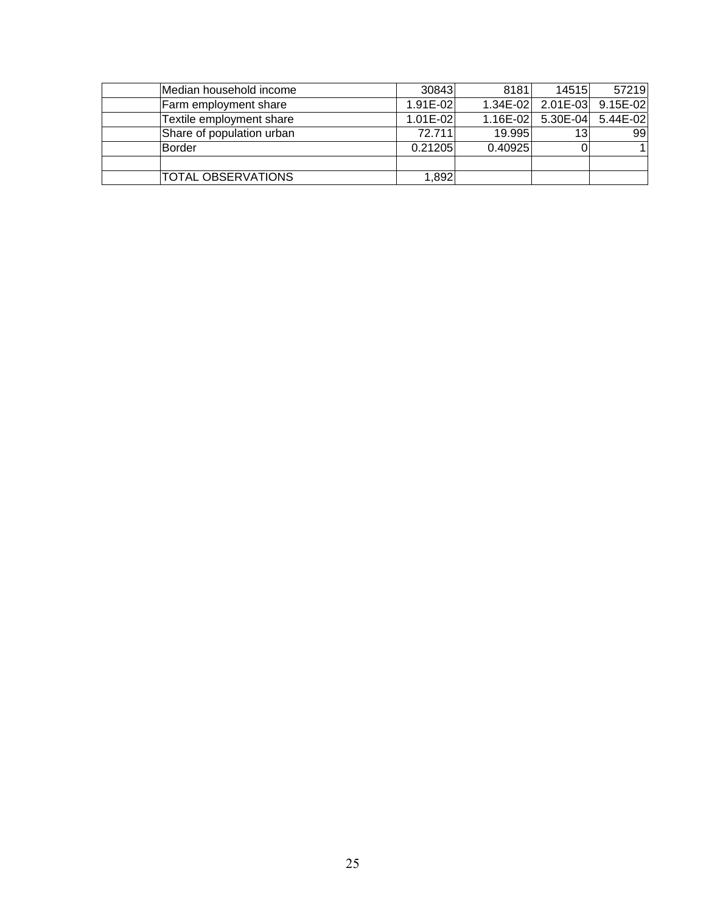| Median household income   | 30843        | 8181     | 14515                      | 57219             |
|---------------------------|--------------|----------|----------------------------|-------------------|
| Farm employment share     | 1.91E-02     | 1.34E-02 |                            | 2.01E-03 9.15E-02 |
| Textile employment share  | $1.01E - 02$ |          | 1.16E-02 5.30E-04 5.44E-02 |                   |
| Share of population urban | 72.711       | 19.995   | 13                         | 99                |
| Border                    | 0.21205      | 0.40925  |                            | 11                |
|                           |              |          |                            |                   |
| TOTAL OBSERVATIONS        | 1,892        |          |                            |                   |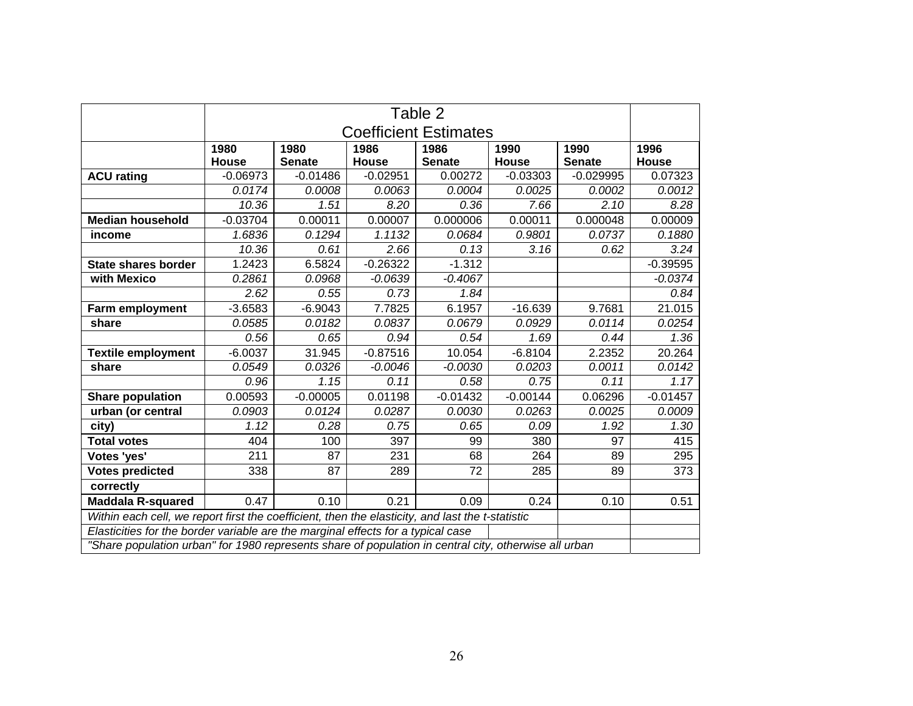|                                                                                                       | Table 2                      |               |            |               |              |               |            |
|-------------------------------------------------------------------------------------------------------|------------------------------|---------------|------------|---------------|--------------|---------------|------------|
|                                                                                                       | <b>Coefficient Estimates</b> |               |            |               |              |               |            |
|                                                                                                       | 1980                         | 1980          | 1986       | 1986          | 1990         | 1990          | 1996       |
|                                                                                                       | House                        | <b>Senate</b> | House      | <b>Senate</b> | <b>House</b> | <b>Senate</b> | House      |
| <b>ACU rating</b>                                                                                     | $-0.06973$                   | $-0.01486$    | $-0.02951$ | 0.00272       | $-0.03303$   | $-0.029995$   | 0.07323    |
|                                                                                                       | 0.0174                       | 0.0008        | 0.0063     | 0.0004        | 0.0025       | 0.0002        | 0.0012     |
|                                                                                                       | 10.36                        | 1.51          | 8.20       | 0.36          | 7.66         | 2.10          | 8.28       |
| <b>Median household</b>                                                                               | $-0.03704$                   | 0.00011       | 0.00007    | 0.000006      | 0.00011      | 0.000048      | 0.00009    |
| income                                                                                                | 1.6836                       | 0.1294        | 1.1132     | 0.0684        | 0.9801       | 0.0737        | 0.1880     |
|                                                                                                       | 10.36                        | 0.61          | 2.66       | 0.13          | 3.16         | 0.62          | 3.24       |
| <b>State shares border</b>                                                                            | 1.2423                       | 6.5824        | $-0.26322$ | $-1.312$      |              |               | $-0.39595$ |
| with Mexico                                                                                           | 0.2861                       | 0.0968        | $-0.0639$  | $-0.4067$     |              |               | $-0.0374$  |
|                                                                                                       | 2.62                         | 0.55          | 0.73       | 1.84          |              |               | 0.84       |
| Farm employment                                                                                       | $-3.6583$                    | $-6.9043$     | 7.7825     | 6.1957        | $-16.639$    | 9.7681        | 21.015     |
| share                                                                                                 | 0.0585                       | 0.0182        | 0.0837     | 0.0679        | 0.0929       | 0.0114        | 0.0254     |
|                                                                                                       | 0.56                         | 0.65          | 0.94       | 0.54          | 1.69         | 0.44          | 1.36       |
| <b>Textile employment</b>                                                                             | $-6.0037$                    | 31.945        | $-0.87516$ | 10.054        | $-6.8104$    | 2.2352        | 20.264     |
| share                                                                                                 | 0.0549                       | 0.0326        | $-0.0046$  | $-0.0030$     | 0.0203       | 0.0011        | 0.0142     |
|                                                                                                       | 0.96                         | 1.15          | 0.11       | 0.58          | 0.75         | 0.11          | 1.17       |
| <b>Share population</b>                                                                               | 0.00593                      | $-0.00005$    | 0.01198    | $-0.01432$    | $-0.00144$   | 0.06296       | $-0.01457$ |
| urban (or central                                                                                     | 0.0903                       | 0.0124        | 0.0287     | 0.0030        | 0.0263       | 0.0025        | 0.0009     |
| city)                                                                                                 | 1.12                         | 0.28          | 0.75       | 0.65          | 0.09         | 1.92          | 1.30       |
| <b>Total votes</b>                                                                                    | 404                          | 100           | 397        | 99            | 380          | 97            | 415        |
| Votes 'yes'                                                                                           | 211                          | 87            | 231        | 68            | 264          | 89            | 295        |
| <b>Votes predicted</b>                                                                                | 338                          | 87            | 289        | 72            | 285          | 89            | 373        |
| correctly                                                                                             |                              |               |            |               |              |               |            |
| <b>Maddala R-squared</b>                                                                              | 0.47                         | 0.10          | 0.21       | 0.09          | 0.24         | 0.10          | 0.51       |
| Within each cell, we report first the coefficient, then the elasticity, and last the t-statistic      |                              |               |            |               |              |               |            |
| Elasticities for the border variable are the marginal effects for a typical case                      |                              |               |            |               |              |               |            |
| "Share population urban" for 1980 represents share of population in central city, otherwise all urban |                              |               |            |               |              |               |            |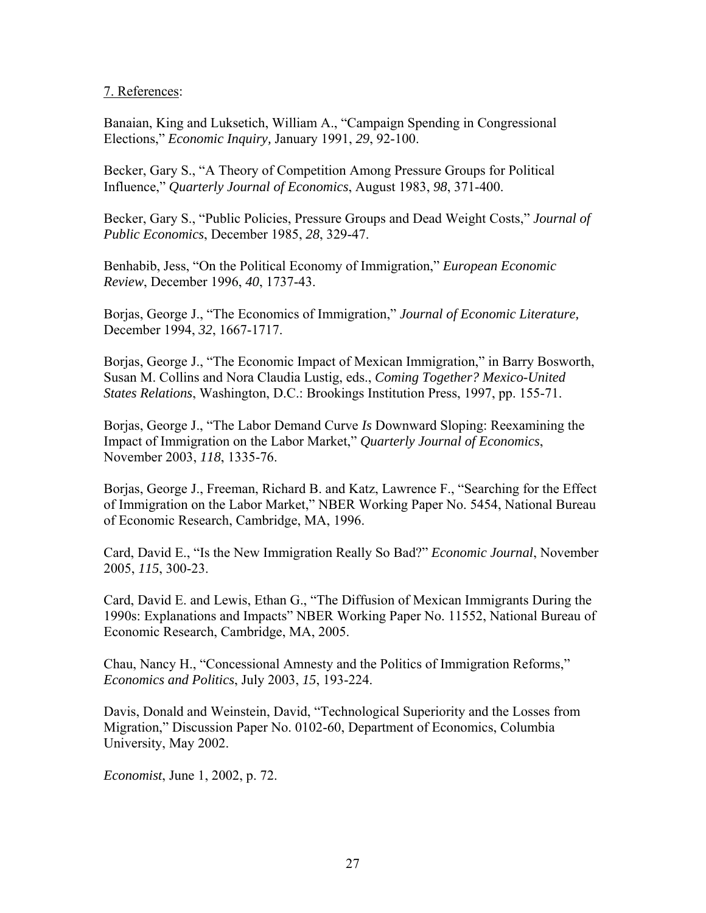# 7. References:

Banaian, King and Luksetich, William A., "Campaign Spending in Congressional Elections," *Economic Inquiry,* January 1991, *29*, 92-100.

Becker, Gary S., "A Theory of Competition Among Pressure Groups for Political Influence," *Quarterly Journal of Economics*, August 1983, *98*, 371-400.

Becker, Gary S., "Public Policies, Pressure Groups and Dead Weight Costs," *Journal of Public Economics*, December 1985, *28*, 329-47.

Benhabib, Jess, "On the Political Economy of Immigration," *European Economic Review*, December 1996, *40*, 1737-43.

Borjas, George J., "The Economics of Immigration," *Journal of Economic Literature,* December 1994, *32*, 1667-1717.

Borias, George J., "The Economic Impact of Mexican Immigration," in Barry Bosworth, Susan M. Collins and Nora Claudia Lustig, eds., *Coming Together? Mexico-United States Relations*, Washington, D.C.: Brookings Institution Press, 1997, pp. 155-71.

Borjas, George J., "The Labor Demand Curve *Is* Downward Sloping: Reexamining the Impact of Immigration on the Labor Market," *Quarterly Journal of Economics*, November 2003, *118*, 1335-76.

Borjas, George J., Freeman, Richard B. and Katz, Lawrence F., "Searching for the Effect of Immigration on the Labor Market," NBER Working Paper No. 5454, National Bureau of Economic Research, Cambridge, MA, 1996.

Card, David E., "Is the New Immigration Really So Bad?" *Economic Journal*, November 2005, *115*, 300-23.

Card, David E. and Lewis, Ethan G., "The Diffusion of Mexican Immigrants During the 1990s: Explanations and Impacts" NBER Working Paper No. 11552, National Bureau of Economic Research, Cambridge, MA, 2005.

Chau, Nancy H., "Concessional Amnesty and the Politics of Immigration Reforms," *Economics and Politics*, July 2003, *15*, 193-224.

Davis, Donald and Weinstein, David, "Technological Superiority and the Losses from Migration," Discussion Paper No. 0102-60, Department of Economics, Columbia University, May 2002.

*Economist*, June 1, 2002, p. 72.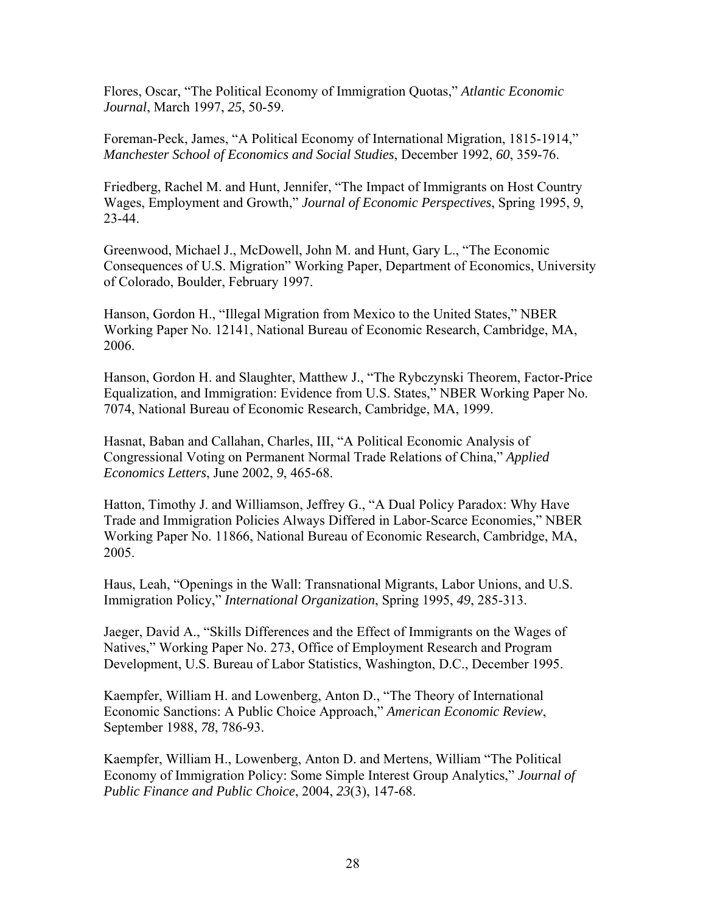Flores, Oscar, "The Political Economy of Immigration Quotas," *Atlantic Economic Journal*, March 1997, *25*, 50-59.

Foreman-Peck, James, "A Political Economy of International Migration, 1815-1914," *Manchester School of Economics and Social Studies*, December 1992, *60*, 359-76.

Friedberg, Rachel M. and Hunt, Jennifer, "The Impact of Immigrants on Host Country Wages, Employment and Growth," *Journal of Economic Perspectives*, Spring 1995, *9*, 23-44.

Greenwood, Michael J., McDowell, John M. and Hunt, Gary L., "The Economic Consequences of U.S. Migration" Working Paper, Department of Economics, University of Colorado, Boulder, February 1997.

Hanson, Gordon H., "Illegal Migration from Mexico to the United States," NBER Working Paper No. 12141, National Bureau of Economic Research, Cambridge, MA, 2006.

Hanson, Gordon H. and Slaughter, Matthew J., "The Rybczynski Theorem, Factor-Price Equalization, and Immigration: Evidence from U.S. States," NBER Working Paper No. 7074, National Bureau of Economic Research, Cambridge, MA, 1999.

Hasnat, Baban and Callahan, Charles, III, "A Political Economic Analysis of Congressional Voting on Permanent Normal Trade Relations of China," *Applied Economics Letters*, June 2002, *9*, 465-68.

Hatton, Timothy J. and Williamson, Jeffrey G., "A Dual Policy Paradox: Why Have Trade and Immigration Policies Always Differed in Labor-Scarce Economies," NBER Working Paper No. 11866, National Bureau of Economic Research, Cambridge, MA, 2005.

Haus, Leah, "Openings in the Wall: Transnational Migrants, Labor Unions, and U.S. Immigration Policy," *International Organization*, Spring 1995, *49*, 285-313.

Jaeger, David A., "Skills Differences and the Effect of Immigrants on the Wages of Natives," Working Paper No. 273, Office of Employment Research and Program Development, U.S. Bureau of Labor Statistics, Washington, D.C., December 1995.

Kaempfer, William H. and Lowenberg, Anton D., "The Theory of International Economic Sanctions: A Public Choice Approach," *American Economic Review*, September 1988, *78*, 786-93.

Kaempfer, William H., Lowenberg, Anton D. and Mertens, William "The Political Economy of Immigration Policy: Some Simple Interest Group Analytics," *Journal of Public Finance and Public Choice*, 2004, *23*(3), 147-68.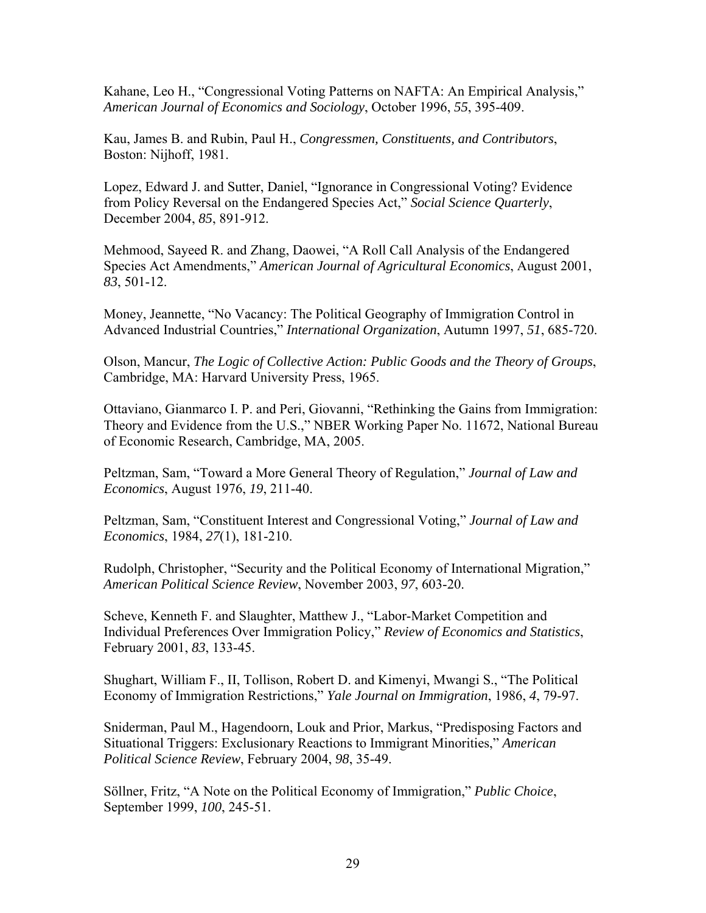Kahane, Leo H., "Congressional Voting Patterns on NAFTA: An Empirical Analysis," *American Journal of Economics and Sociology*, October 1996, *55*, 395-409.

Kau, James B. and Rubin, Paul H., *Congressmen, Constituents, and Contributors*, Boston: Nijhoff, 1981.

Lopez, Edward J. and Sutter, Daniel, "Ignorance in Congressional Voting? Evidence from Policy Reversal on the Endangered Species Act," *Social Science Quarterly*, December 2004, *85*, 891-912.

Mehmood, Sayeed R. and Zhang, Daowei, "A Roll Call Analysis of the Endangered Species Act Amendments," *American Journal of Agricultural Economics*, August 2001, *83*, 501-12.

Money, Jeannette, "No Vacancy: The Political Geography of Immigration Control in Advanced Industrial Countries," *International Organization*, Autumn 1997, *51*, 685-720.

Olson, Mancur, *The Logic of Collective Action: Public Goods and the Theory of Groups*, Cambridge, MA: Harvard University Press, 1965.

Ottaviano, Gianmarco I. P. and Peri, Giovanni, "Rethinking the Gains from Immigration: Theory and Evidence from the U.S.," NBER Working Paper No. 11672, National Bureau of Economic Research, Cambridge, MA, 2005.

Peltzman, Sam, "Toward a More General Theory of Regulation," *Journal of Law and Economics*, August 1976, *19*, 211-40.

Peltzman, Sam, "Constituent Interest and Congressional Voting," *Journal of Law and Economics*, 1984, *27*(1), 181-210.

Rudolph, Christopher, "Security and the Political Economy of International Migration," *American Political Science Review*, November 2003, *97*, 603-20.

Scheve, Kenneth F. and Slaughter, Matthew J., "Labor-Market Competition and Individual Preferences Over Immigration Policy," *Review of Economics and Statistics*, February 2001, *83*, 133-45.

Shughart, William F., II, Tollison, Robert D. and Kimenyi, Mwangi S., "The Political Economy of Immigration Restrictions," *Yale Journal on Immigration*, 1986, *4*, 79-97.

Sniderman, Paul M., Hagendoorn, Louk and Prior, Markus, "Predisposing Factors and Situational Triggers: Exclusionary Reactions to Immigrant Minorities," *American Political Science Review*, February 2004, *98*, 35-49.

Söllner, Fritz, "A Note on the Political Economy of Immigration," *Public Choice*, September 1999, *100*, 245-51.